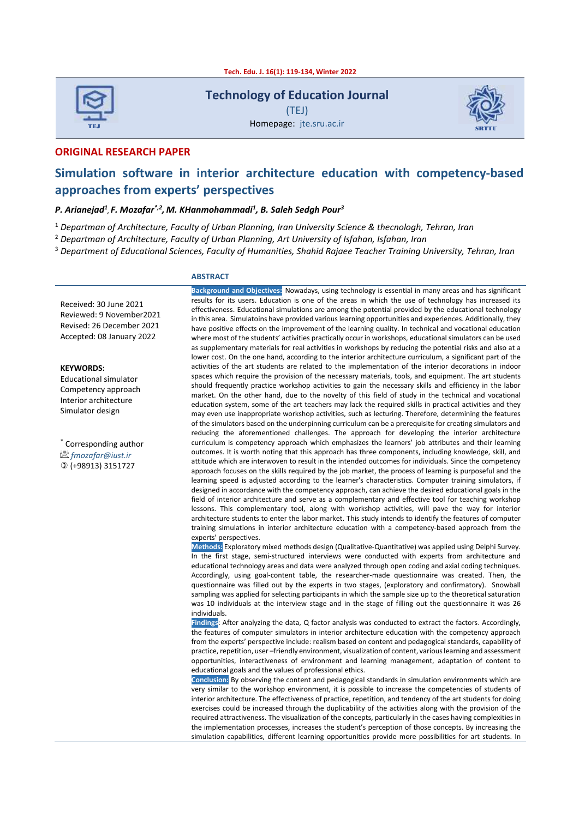**Tech. Edu. J. 16(1): 119-134, Winter 2022**



**Technology of Education Journal**

(TEJ) Homepage: jte.sru.ac.ir



**ORIGINAL RESEARCH PAPER** 

# **Simulation software in interior architecture education with competency-based approaches from experts' perspectives**

### *P. Arianejad<sup>1</sup> , F. Mozafar\*,2 , M. KHanmohammadi<sup>1</sup> , B. Saleh Sedgh Pour<sup>3</sup>*

<sup>1</sup> *Departman of Architecture, Faculty of Urban Planning, Iran University Science & thecnologh, Tehran, Iran*

<sup>2</sup> *Departman of Architecture, Faculty of Urban Planning, Art University of Isfahan, Isfahan, Iran*

<sup>3</sup> *Department of Educational Sciences, Faculty of Humanities, Shahid Rajaee Teacher Training University, Tehran, Iran* 

#### **ABSTRACT**

Received: 30 June 2021 Reviewed: 9 November2021 Revised: 26 December 2021 Accepted: 08 January 2022

**KEYWORDS:**

Educational simulator Competency approach Interior architecture Simulator design

\* Corresponding author *fmozafar@iust.ir* (+98913) 3151727

**Background and Objectives:** Nowadays, using technology is essential in many areas and has significant results for its users. Education is one of the areas in which the use of technology has increased its effectiveness. Educational simulations are among the potential provided by the educational technology in this area. Simulatoins have provided various learning opportunities and experiences. Additionally, they have positive effects on the improvement of the learning quality. In technical and vocational education where most of the students' activities practically occur in workshops, educational simulators can be used as supplementary materials for real activities in workshops by reducing the potential risks and also at a lower cost. On the one hand, according to the interior architecture curriculum, a significant part of the activities of the art students are related to the implementation of the interior decorations in indoor spaces which require the provision of the necessary materials, tools, and equipment. The art students should frequently practice workshop activities to gain the necessary skills and efficiency in the labor market. On the other hand, due to the novelty of this field of study in the technical and vocational education system, some of the art teachers may lack the required skills in practical activities and they may even use inappropriate workshop activities, such as lecturing. Therefore, determining the features of the simulators based on the underpinning curriculum can be a prerequisite for creating simulators and reducing the aforementioned challenges. The approach for developing the interior architecture curriculum is competency approach which emphasizes the learners' job attributes and their learning outcomes. It is worth noting that this approach has three components, including knowledge, skill, and attitude which are interwoven to result in the intended outcomes for individuals. Since the competency approach focuses on the skills required by the job market, the process of learning is purposeful and the learning speed is adjusted according to the learner's characteristics. Computer training simulators, if designed in accordance with the competency approach, can achieve the desired educational goals in the field of interior architecture and serve as a complementary and effective tool for teaching workshop lessons. This complementary tool, along with workshop activities, will pave the way for interior architecture students to enter the labor market. This study intends to identify the features of computer training simulations in interior architecture education with a competency-based approach from the experts' perspectives.

**Methods:** Exploratory mixed methods design (Qualitative-Quantitative) was applied using Delphi Survey. In the first stage, semi-structured interviews were conducted with experts from architecture and educational technology areas and data were analyzed through open coding and axial coding techniques. Accordingly, using goal-content table, the researcher-made questionnaire was created. Then, the questionnaire was filled out by the experts in two stages, (exploratory and confirmatory). Snowball sampling was applied for selecting participants in which the sample size up to the theoretical saturation was 10 individuals at the interview stage and in the stage of filling out the questionnaire it was 26 individuals.

**Findings**: After analyzing the data, Q factor analysis was conducted to extract the factors. Accordingly, the features of computer simulators in interior architecture education with the competency approach from the experts' perspective include: realism based on content and pedagogical standards, capability of practice, repetition, user –friendly environment, visualization of content, various learning and assessment opportunities, interactiveness of environment and learning management, adaptation of content to educational goals and the values of professional ethics.

**Conclusion:** By observing the content and pedagogical standards in simulation environments which are very similar to the workshop environment, it is possible to increase the competencies of students of interior architecture. The effectiveness of practice, repetition, and tendency of the art students for doing exercises could be increased through the duplicability of the activities along with the provision of the required attractiveness. The visualization of the concepts, particularly in the cases having complexities in the implementation processes, increases the student's perception of those concepts. By increasing the simulation capabilities, different learning opportunities provide more possibilities for art students. In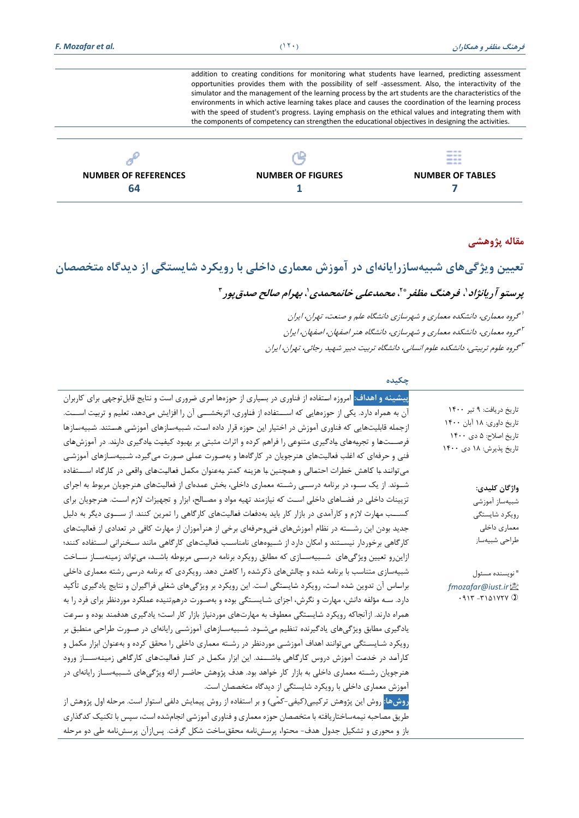addition to creating conditions for monitoring what students have learned, predicting assessment opportunities provides them with the possibility of self -assessment. Also, the interactivity of the simulator and the management of the learning process by the art students are the characteristics of the environments in which active learning takes place and causes the coordination of the learning process with the speed of student's progress. Laying emphasis on the ethical values and integrating them with the components of competency can strengthen the educational objectives in designing the activities.

|                             |                          | ---<br>$\frac{1}{2} \left( \frac{1}{2} \right) \left( \frac{1}{2} \right) \left( \frac{1}{2} \right) \left( \frac{1}{2} \right) \left( \frac{1}{2} \right) \left( \frac{1}{2} \right) \left( \frac{1}{2} \right) \left( \frac{1}{2} \right) \left( \frac{1}{2} \right) \left( \frac{1}{2} \right) \left( \frac{1}{2} \right) \left( \frac{1}{2} \right) \left( \frac{1}{2} \right) \left( \frac{1}{2} \right) \left( \frac{1}{2} \right) \left( \frac{1}{2} \right) \left( \frac$<br>---<br>--- |
|-----------------------------|--------------------------|-------------------------------------------------------------------------------------------------------------------------------------------------------------------------------------------------------------------------------------------------------------------------------------------------------------------------------------------------------------------------------------------------------------------------------------------------------------------------------------------------|
| <b>NUMBER OF REFERENCES</b> | <b>NUMBER OF FIGURES</b> | <b>NUMBER OF TABLES</b>                                                                                                                                                                                                                                                                                                                                                                                                                                                                         |
| 64                          |                          |                                                                                                                                                                                                                                                                                                                                                                                                                                                                                                 |

# **مقاله پژوهشی**

**تعيين ويژگی هاي شبيه سازرايانه اي در آموزش معماري داخلی با رويکرد شايستگی از ديدگاه متخصصان**  پرستو آریانژاد \، فرهنگ مظفر \* \، محمدعلی خانمحمدی \، بهرام صالح صدق پور "

> 1 گروه معماری، دانشكده معماری و شهرسازی دانشگاه علم و صنعت، تهران، ايران گروه معماری، دانشكده معماری و شهرسازی، دانشگاه هنر اصفهان، اصفهان، ايران <sup>2</sup> <sup>۳</sup> گروه علوم تربیتی، دانشكده علوم انسانی، دانشگاه تربیت دبیر شهید رجائی، تهران، ایران

### **چکيده**

|                                     | <mark>پیشینه و اهداف:</mark> امروزه استفاده از فناوری در بسیاری از حوزهها امری ضروری است و نتایج قابلتوجهی برای کاربران |
|-------------------------------------|-------------------------------------------------------------------------------------------------------------------------|
| تاریخ دریافت: ۹ تیر ۱۴۰۰            | آن به همراه دارد. یکی از حوزههایی که اســـتفاده از فناوری، اثربخشـــی آن را افزایش میدهد، تعلیم و تربیت اســـت.         |
| تاريخ داوري: ۱۸ آبان ۱۴۰۰           | ازجمله قابلیتهایی که فناوری آموزش در اختیار این حوزه قرار داده است، شبیهسازهای آموزشی هستند. شبیهسازها                  |
| تاريخ اصلاح: ۵ دی ۱۴۰۰              | فرصـــتـها و تجربههای یادگیری متنوعی را فراهم کرده و اثرات مثبتی بر بهبود کیفیت یادگیری دارند. در آموزش های             |
| تاریخ پذیرش: ۱۸ دی ۱۴۰۰             | فنی و حرفهای که اغلب فعالیتهای هنرجویان در کارگاهها و بهصورت عملی صورت میگیرد، شبیهسازهای آموزشی                        |
|                                     | می توانند با کاهش خطرات احتمالی و همچنین با هزینه کمتر بهعنوان مکمل فعالیتهای واقعی در کارگاه اســـتفاده                |
| واژگان كليدي:                       | شــوند. از یک ســو، در برنامه درســی رشــته معماری داخلی، بخش عمدهای از فعالیتهای هنرجویان مربوط به اجرای               |
| شبيەساز آموزشى                      | تزیینات داخلی در فضـاهای داخلی اسـت که نیازمند تهیه مواد و مصـالح، ابزار و تجهیزات لازم اسـت. هنرجویان برای             |
| رويكرد شايستگى                      | کســـب مهارت لازم و کارآمدی در بازار کار باید بهدفعات فعالیتهای کارگاهی را تمرین کنند. از ســـوی دیگر به دلیل           |
| معماري داخلي                        | جدید بودن این رشـــته در نظام آموزشهای فنیوحرفهای برخی از هنرآموزان از مهارت کافی در تعدادی از فعالیتهای                |
| طراحي شبيهساز                       | کارگاهی برخوردار نیسـتند و امکان دارد از شـیوههای نامناسـب فعالیتهای کارگاهی مانند سـخنرانی اسـتفاده کنند؛              |
|                                     | ازاین٫و تعیین ویژگیهای ِ شــبیهســازی که مطابق ٫ویکرد برنامه درســی مربوطه باشــد، میتواند زمینهســاز ســاخت            |
|                                     | شبیهسازی متناسب با برنامه شده و چالشهای ذکرشده را کاهش دهد. رویکردی که برنامه درسی رشته معماری داخلی                    |
| " نويسنده مسئول<br>fmozafar@iust.ir | براساس آن تدوین شده است، رویکرد شایستگی است. این رویکرد بر ویژگیهای شغلی فراگیران و نتایج یادگیری تأکید                 |
|                                     |                                                                                                                         |
|                                     | دارد. سـه مؤلفه دانش، مهارت و نگرش، اجزای شـایسـتگی بوده و بهصـورت درهم¤ننیده عملکرد موردنظر برای فرد را به             |
|                                     | همراه دارند. ازآنجاکه رویکرد شایستگی معطوف به مهارتهای موردنیاز بازار کار است؛ یادگیری هدفمند بوده و سرعت               |
|                                     | یادگیری مطابق ویژگیهای یادگیرنده تنظیم میشـود. شـبیهسـازهای آموزشـی رایانهای در صـورت طراحی منطبق بر                    |
|                                     | رویکرد شـایسـتگی میتوانند اهداف آموزشـی موردنظر در رشـته معماری داخلی را محقق کرده و بهعنوان ابزار مکمل و               |
|                                     | کارآمد در خدمت آموزش دروس کارگاهی باشــند. این ابزار مکمل در کنار فعالیتهای کارگاهی زمینهســاز ورود                     |
|                                     | هنرجویان رشــته معماری داخلی به بازار کار خواهد بود. هدف پژوهش حاضــر ارائه ویژگیهای شــبیهســاز رایانهای در            |
|                                     | آموزش معماری داخلی با رویکرد شایستگی از دیدگاه متخصصان است.                                                             |
|                                     | <mark>روشها:</mark> روش این پژوهش ترکیبی(کیفی-کمّی) و بر استفاده از روش پیمایش دلفی استوار است. مرحله اول پژوهش از      |
|                                     | طریق مصاحبه نیمهساختاریافته با متخصصان حوزه معماری و فناوری آموزشی انجامشده است، سپس با تکنیک کدگذاری                   |
|                                     | باز و محوری و تشکیل جدول هدف- محتوا، پرسشiامه محققساخت شکل گرفت. پس زآن پرسشiامه طی دو مرحله                            |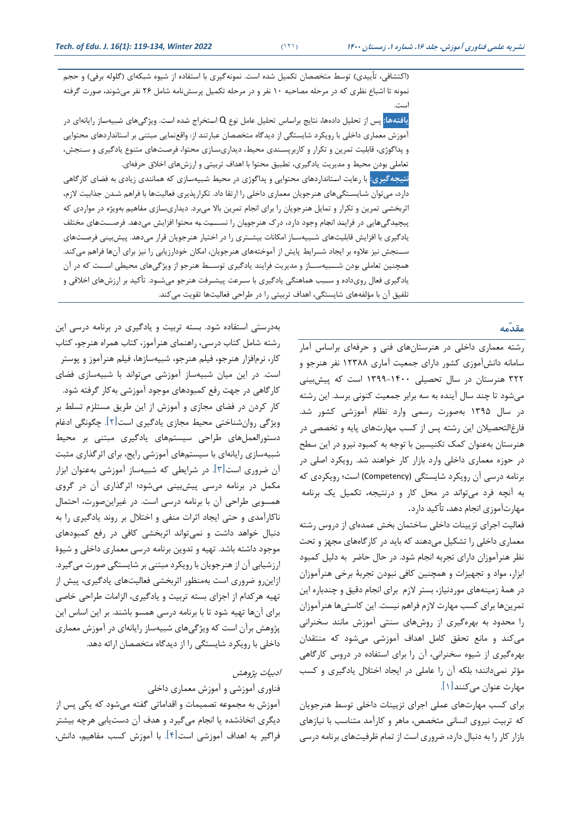(اکتشافی، تأييدی) توسط متخصصان تكميل شده است. نمونهگیری با استفاده از شیوه شبكهای (گلوله برفی) و حجم نمونه تا اشباع نظری که در مرحله مصاحبه 10 نفر و در مرحله تكمیل پرسشنامه شامل 26 نفر میشوند، صورت گرفته است.

**يافتهها: پ**س از تحليل دادهها، نتايج براساس تحليل عامل نوع Q استخراج شده است. ويژگیهای شبيهساز رايانهای در آموزش معماری داخلی با رويكرد شايستگی از ديدگاه متخصصان عبارتند از: واقعنمايی مبتنی بر استانداردهای محتوايی و پداگوژی، قابلیت تمرين و تكرار و کاربرپستندی محیط، ديداریستازی محتوا، فرصتتهای متنوع يادگیری و ستنجش، تعاملی بودن محیط و مديريت يادگیری، تطبیق محتوا با اهداف تربیتی و ارزشهای اخالق حرفهای.

**نتيجهگيري:** با رعايت استتانداردهای محتوايی و پداگوژی در محیط شتبیهستازی که همانندی زيادی به فضتای کارگاهی دارد، میتوان شتايستتگیهای هنرجويان معماری داخلی را ارتقا داد. تكرارپذيری فعالیتها با فراهم شتدن جذابیت الزم، اثربخشتی تمرين و تكرار و تمايل هنرجويان را برای انجام تمرين باال میبرد. ديداریستازی مفاهیم بهويژه در مواردی که پیچیدگیهايی در فرايند انجام وجود دارد، درک هنرجويان را نســـبت به محتوا افزايش میدهد. فرصـــتهای مختلف يادگیری با افزايش قابلیتهای شتبیهستاز امكانات بیشتتری را در اختیار هنرجويان قرار میدهد. پیشبینی فرصتتهای ستتنجش نیز عالوه بر ايجاد شتترايط پايش از آموختههای هنرجويان، امكان خودارزيابی را نیز برای آنها فراهم میکند. همچنین تعاملی بودن شتتبیهستتاز و مديريت فرايند يادگیری توستتط هنرجو از ويژگیهای محیطی استتت که در آن يادگیری فعال رویداده و ستبب هماهنگی يادگیری با سترعت پیشترفت هنرجو میشتود. تأکید بر ارزشهای اخالقی و تلفیق آن با مؤلفههای شايستگی، اهداف تربیتی را در طراحی فعالیتها تقويت میکند.

# **مقدّمه**

رشته معماری داخلی در هنرستانهای فنی و حرفه ای براسا آمار سامانه دانش آموزی کشور دارای جمعیت آماری 12388 نفر هنرجو و 322 هنرستان در سال تحصیلی 1399-1400 است که پیش بینی میشود تا چند سال آينده به سه برابر جمعیت کنونی برسد. اين رشته در سال 1395 بهصورت رسمی وارد نظام آموزشی کشور شد. فارغالتحصیالن اين رشته پس از کسب مهارت های پايه و تخصصی در هنرستان به عنوان کمک تكنیسین با توجه به کمبود نیرو در اين سط در حوزه معماری داخلی وارد بازار کار خواهند شد. رويكرد اصلی در برنامه درسی آن رويكرد شايستگی (Competency (است؛ رويكردی که به آنچه فرد میتواند در محل کار و درنتیجه، تكمیل يک برنامه مهارت آموزی انجام دهد، تأکید دارد.

فعالیت اجرای تزيينات داخلی ساختمان بخش عمدهای از دروس رشته معماری داخلی را تشكیل می دهند که بايد در کارگاه های مجهز و تحت نظر هنرآموزان دارای تجربه انجام شود. در حال حاضر به دلیل کمبود ابزار، مواد و تجهیزات و همچنین کافی نبودن تجربة برخی هنرآموزان در همة زمینههای موردنیاز، بستر الزم برای انجام دقیق و چندباره اين تمرينها برای کسب مهارت الزم فراهم نیست. اين کاستیها هنرآموزان را محدود به بهره گیری از روش های سنتی آموزش مانند سخنرانی میکند و مانع تحقق کامل اهداف آموزشی می شود که منتقدان بهره گیری از شیوه سخنرانی، آن را برای استفاده در دروس کارگاهی مؤثر نمیدانند؛ بلكه آن را عاملی در ايجاد اختالل يادگیری و کسب مهارت عنوان می کنند]1[.

برای کسب مهارت های عملی اجرای تزيینات داخلی توسط هنرجويان که تربیت نیروی انسانی متخصص، ماهر و کارآمد متناسب با نیازهای بازار کار را به دنبال دارد، ضروری است از تمام ظرفیت های برنامه درسی

بهدرستی استفاده شود. بسته تربیت و يادگیری در برنامه درسی اين رشته شامل کتاب درسی، راهنمای هنرآموز، کتاب همراه هنرجو، کتاب کار، نرم افزار هنرجو ، فیلم هنرجو، شبیهسازها، فیلم هنرآموز و پوستر است. در اين میان شبیه ساز آموزشی میتواند با شبیه سازی فضای کارگاهی در جهت رفع کمبودهای موجود آموزشی بهکار گرفته شود. کار کردن در فضای مجازی و آموزش از اين طريق مستلزم تسلط بر ويژگی روان شناختی محیط مجازی يادگیری است ]2[. چگونگی ادغام دستورالعمل های طراحی سیستمهای يادگیری مبتنی بر محیط شبیهسازی رايانه ای با سیستم های آموزشی رايج، برای اثرگذاری مثبت آن ضروری است ]3[ . در شرايطی که شبیهساز آموزشی بهعنوان ابزار مکمل در برنامه درسی پیشبینی میشود؛ اثرگذاری آن در گروی همسويی طراحی آن با برنامه درسی است. در غیر اينصورت، احتمال ناکارآمدی و حتی ايجاد اثرات منفی و اختالل بر روند يادگیری را به دنبال خواهد داشت و نمیتواند اثربخشی کافی در رفع کمبودهای موجود داشته باشد. تهیه و تدوين برنامه درسی معماری داخلی و شیوة ارزشیابی آن از هنرجويان با رويكرد مبتنی بر شايستگی صورت میگیرد. ازاين رو ضروری است به منظور اثربخشی فعالیتهای يادگیری، پیش از تهیه هرکدام از اجزای بسته تربیت و يادگیری، الزامات طراحی خاصی برای آنها تهیه شود تا با برنامه درسی همسو باشند. بر این اساس این پژوهش برآن است که ويژگیهای شبیهساز رايانه ای در آموزش معماری داخلی با رويكرد شايستگی را از ديدگاه متخصصان ارائه دهد.

## ادبیات پژوهش

### فناوری آموزشی و آموزش معماری داخلی

آموزش به مجموعه تصمیمات و اقداماتی گفته میشود که يكی پس از ديگری اتخاذشده يا انجام می گیرد و هدف آن دست يابی هرچه بیشتر فراگیر به اهداف آموزشی است]4[. با آموزش کسب مفاهیم، دانش،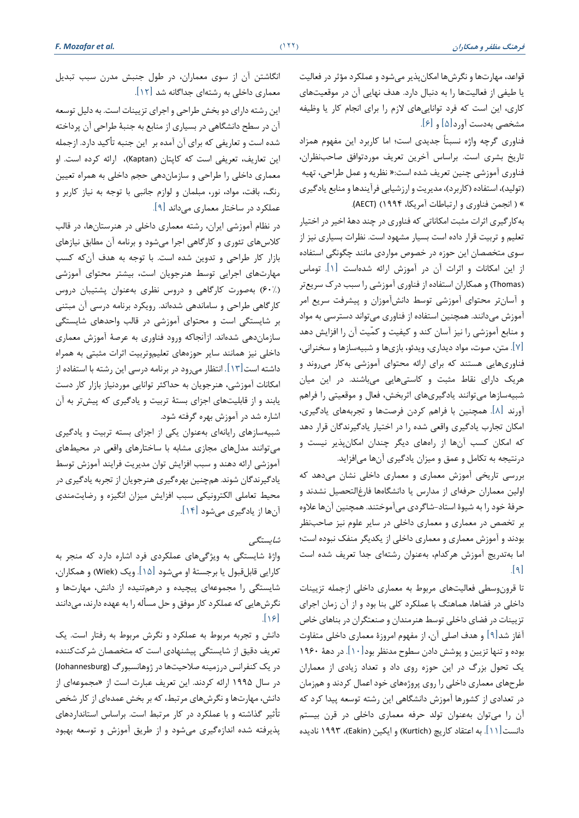قواعد، مهارتها و نگرشها امكان پذير میشود و عملكرد مؤثر در فعاليت يا طیفی از فعالیتها را به دنبال دارد. هدف نهايی آن در موقعیت های کاری، اين است که فرد توانايی های الزم را برای انجام کار يا وظیفه مشخصی بهدست آورد ]5[ و ]6[.

فناوری گرچه واژه نسبتاً جديدی است؛ اما کاربرد اين مفهوم همزاد تاريخ بشري است. براساس آخرين تعريف موردتوافق صاحب نظران، فناوری آموزشی چنین تعریف شده است:« نظریه و عمل طراحی، تهیه (تولید)، استفاده (کاربرد)، مديريت و ارزشيابی فرآيندها و منابع يادگيري » ( انجمن فناوری و ارتباطات آمريكا، ۱۹۹۴) (AECT).

بهکارگیری اثرات مثبت امكاناتی که فناوری در چند دهة اخیر در اختیار تعلیم و تربیت قرار داده است بسیار مشهود است. نظرات بسیاری نیز از سوی متخصصان اين حوزه در خصوص مواردی مانند چگونگی استفاده از اين امكانات و اثرات آن در آموزش ارائه شدهاست  $[1]$ . توماس )Thomas )و همكاران استفاده از فناوری آموزشی را سبب درك سريع تر و آسان تر محتوای آموزشی توسط دانش آموزان و پیشرفت سريع امر آموزش می دانند. همچنین استفاده از فناوری می تواند دسترسی به مواد و منابع آموزشی را نیز آسان کند و کیفیت و کمّیت آن را افزايش دهد ]7[. متن، صوت، مواد ديداری، ويدئو، بازی ها و شبیه سازها و سخنرانی ، فناوریهایی هستند که برای ارائه محتوای آموزشی بهکار میروند و هريک دارای نقاط مثبت و کاستیهايی میباشند. در اين میان شبیهسازها میتوانند يادگیری های اثربخش، فعال و موقعیتی را فراهم آورند ]8[. همچنین با فراهم کردن فرصتها و تجربههای يادگیری، امكان تجارب يادگیری واقعی شده را در اختیار يادگیرندگان قرار دهد که امكان کسب آنها از راههای ديگر چندان امكان پذير نیست و درنتیجه به تكامل و عمق و میزان يادگیری آن ها میافزايد.

بررسی تاريخی آموزش معماری و معماری داخلی نشان میدهد که اولین معماران حرفهای از مدارس یا دانشگاهها فارغ|لتحصیل نشدند و حرفة خود را به شیوة استاد-شاگردی میآموختند. همچنین آنها عالوه بر تخصص در معماری و معماری داخلی در ساير علوم نیز صاحب نظر بودند و آموزش معماری و معماری داخلی از يكديگر منفک نبوده است ؛ اما به تدريج آموزش هرکدام، به عنوان رشتهای جدا تعريف شده است  $\lceil 9 \rceil$ 

تا قرونوسطی فعالیت های مربوط به معماری داخلی ازجمله تزيینات داخلی در فضاها، هماهنگ با عملكرد کلی بنا بود و از آن زمان اجرای تزيینات در فضای داخلی توسط هنرمندان و صنعتگران در بناهای خاص آغاز شد ]9[ و هدف اصلی آن، از مفهوم امروزة معماری داخلی متفاوت بوده و تنها تزيین و پوشش دادن سطوح مدنظر بود ]10[. در دهة 1960 يک تحول بزرگ در اين حوزه روی داد و تعداد زيادی از معماران طرح های معماری داخلی را روی پروژههای خود اعمال کردند و هم زمان در تعدادی از کشورها آموزش دانشگاهی اين رشته توسعه پیدا کرد که آن را میتوان به عنوان تولد حرفه معماری داخلی در قرن بیستم دانست[۱۱]. به اعتقاد کاريچ (Kurtich) و ايکين (Eakin)، ۱۹۹۳ ناديده

انگاشتن آن از سوی معماران، در طول جنبش مدرن سبب تبديل معماری داخلی به رشتهای جداگانه شد ]12[ .

اين رشته دارای دو بخش طراحی و اجرای تزيینات است. به دلیل توسعه آن در سطح دانشگاهی در بسیاری از منابع به جنبهٔ طراحی آن پرداخته شده است و تعاريفی که برای آن آمده بر اين جنبه تأکید دارد. ازجمله اين تعاريف، تعريفي است كه كاپتان (Kaptan)، ارائه كرده است. او معماری داخلی را طراحی و سازمان دهی حجم داخلی به همراه تعیین رنگ، بافت، مواد، نور، مبلمان و لوازم جانبی با توجه به نیاز کاربر و عملكرد در ساختار معماری می داند ] 9[.

در نظام آموزشی ايران، رشته معماری داخلی در هنرستانها، در قالب کلاسهای تئوری و کارگاهی اجرا میشود و برنامه آن مطابق نیازهای بازار کار طراحی و تدوين شده است. با توجه به هدف آن که کسب مهارت های اجرايی توسط هنرجويان است، بیشتر محتوای آموزشی (60%) بهصورت کارگاهی و دروس نظری به عنوان پشتیبان دروس کارگاهی طراحی و ساماندهی شده اند. رويكرد برنامه درسی آن مبتنی بر شايستگی است و محتوای آموزشی در قالب واحدهای شايستگی سازمان دهی شدهاند. ازآنجاکه ورود فناوری به عرصهٔ آموزش معماری داخلی نیز همانند ساير حوزه های تعلیموتربیت اثرات مثبتی به همراه داشته است ]13[. انتظار می رود در برنامه درسی اين رشته با استفاده از امكانات آموزشی، هنرجويان به حداکثر توانايی موردنیاز بازار کار دست يابند و از قابلیت های اجزای بستة تربیت و يادگیری که پیش تر به آن اشاره شد در آموزش بهره گرفته شود.

شبیهسازهای رايانه ای به عنوان يكی از اجزای بسته تربیت و يادگیری میتوانند مدل های مجازی مشابه با ساختارهای واقعی در محیطهای آموزشی ارائه دهند و سبب افزايش توان مديريت فرايند آموزش توسط يادگیرندگان شوند . همچنین بهره گیری هنرجويان از تجربه يادگیری در محیط تعاملی الكترونیكی سبب افزايش میزان انگیزه و رضايتمندی آنها از يادگیری می شود ]14[.

# شايستگی

واژة شايستگی به ويژگیهای عملكردی فرد اشاره دارد که منجر به کارايی قابل قبول يا برجستة او می شود ]15[. ويک )Wiek )و همكاران، شايستگی را مجموعه ای پیچیده و درهمتنیده از دانش، مهارت ها و نگرش هايی که عملكرد کار موفق و حل مسأله را به عهده دارند، می دانند  $\lceil \frac{1}{2} \rceil$ 

دانش و تجربه مربوط به عملكرد و نگرش مربوط به رفتار است. يک تعريف دقيق از شايستگی پيشنهادی است كه متخصصان شركتكننده در يک کنفرانس درزمینه صالحیت ها در ژوهانسبورگ (Johannesburg ( در سال ۱۹۹۵ ارائه کردند. اين تعريف عبارت است از «مجموعهای از دانش، مهارتها و نگرش های مرتبط، که بر بخش عمده ای از کار شخص تأثیر گذاشته و با عملکرد در کار مرتبط است. براساس استانداردهای پذيرفته شده اندازه گیری میشود و از طريق آموزش و توسعه بهبود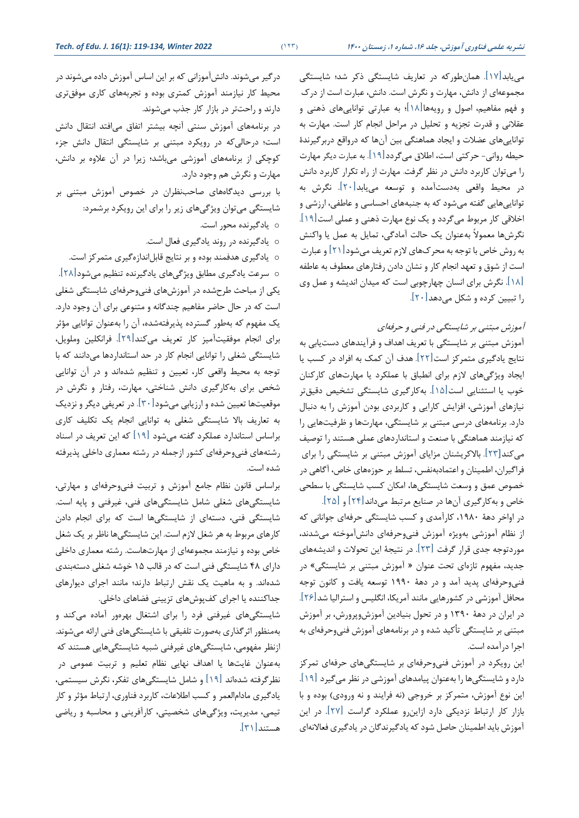می یابد $\lceil \mathcal{W} \rceil$ . همان طورکه در تعاريف شايستگی مجموعه ای از دانش، مهارت و نگرش است. دانش،عبارت است از درك و فهم مفاهیم، اصول و رويه ها]18[ ؛ به عبارتی توانايیهای ذهنی و عقالنی و قدرت تجزيه و تحلیل در مراحل انجام کار است. مهارت به توانايی های عضالت و ايجاد هماهنگی بین آنها که درواقع دربرگیرند ة حیطه روانی- حرکتی است، اطالق میگردد]19[. به عبارت ديگر مهارت را میتوان کاربرد دانش در نظر گرفت. مهارت از راه تكرار کاربرد دانش در محیط واقعی بهدستآمده و توسعه میيابد]20[. نگرش به توانايی هايی گفته میشود که به جنبههای احساسی و عاطفی، ارزشی و اخالقی کار مربوط میگردد و يک نوع مهارت ذهنی و عملی است]19[ . نگرش ها معموالً بهعنوان يک حالت آمادگی، تمايل به عمل يا واکنش به روش خاص با توجه به محركهای لازم تعريف میشود[۲۱] و عبارت است از شوق و تعهد انجام کار و نشان دادن رفتارهای معطوف به عاطفه ]18[. نگرش برای انسان چ هارچوبی است که میدان انديشه و عمل وی را تبیین کرده و شكل میدهد]20[.

آموزش مبتنی بر شايستگی در فنی و حرفهای

آموزش مبتنی بر شايستگی با تعريف اهداف و فرآيندهای دست يابی به نتايج يادگیری متمرکز است ]22[. هدف آن کمک به افراد در کسب يا ايجاد ويژگی های الزم برای انطباق با عملكرد يا مهارت های کارکنان خوب يا استثنايی است]15[. به کارگیری شايستگی تشخیص دقیقتر نیازهای آموزشی، افزايش کارايی و کاربردی بودن آموزش را به دنبال دارد. برنامه های درسی مبتنی بر شايستگی، مهارت ها و ظرفیتهايی را که نیازمند هماهنگی با صنعت و استانداردهای عملی هستند را توصی میکند[23[. باالکريشنان مزايای آموزش مبتنی بر شايستگی را برای فراگیران، اطمینان و اعتمادبه نفس، تسلط بر حوزههای خاص، آگاهی در خصوص عمق و وسعت شايستگی ها، امكان کسب شايستگی با سطحی

خاص و به کارگیری آنها در صنايع مرتبط میداند]24[ و ]25[. در اواخر دهة ،1980 کارآمدی و کسب شايستگی حرفه ای جوانانی که از نظام آموزشی بهويژه آموزش فنیوحرفهای دانش آموخته می شدند، موردتوجه جدی قرار گرفت ]23[. در نتیجة اين تحوالت و انديشههای جديد، مفهوم تازه ای تحت عنوان » آموزش مبتنی بر شايستگی« در فنیوحرفه ای پديد آمد و در دهة 1990 توسعه يافت و کانون توجه محافل آموزشی در کشورهايی مانند آمريكا، انگلیس و استرالیا شد]26[ . در ايران در دهة 1390 و در تحول بنیادين آموزش وپرورش، بر آموزش مبتنی بر شايستگی تأکید شده و در برنامههای آموزش فنیوحرفه ای به اجرا درآمده است.

اين رويكرد در آموزش فنیوحرفه ای بر شايستگی های حرفه ای تمرکز دارد و شايستگی ها را به عنوان پیامدهای آموزشی در نظر می گیرد ]19[ . اين نوع آموزش، متمرکز بر خروجی (نه فرايند و نه ورودی) بوده و با بازار کار ارتباط نزديكی دارد ازاين رو عملكرد گراست ]27[. در اين آموزش بايد اطمینان حاصل شود که يادگیرندگان در يادگیری فعاالنهای

درگیر میشوند. دانشآموزانی که بر این اساس آموزش داده میشوند در محیط کار نیازمند آموزش کمتری بوده و تجربه های کاری موفق تری دارند و راحت تر در بازار کار جذب میشوند . در برنامههای آموزش سنتی آنچه بیشتر اتفاق میافتد انتقال دانش است ؛ درحالی که در رويكرد مبتنی بر شايستگی انتقال دانش جزء کوچكی از برنامه های آموزشی میباشد؛ زيرا در آن عالوه بر دانش، مهارت و نگرش هم وجود دارد. با بررسی ديدگاههای صاحب نظران در خصوص آموزش مبتنی بر شايستگی میتوان ويژگی های زير را برای اين رويكرد برشمرد:

o يادگیرنده محور است.

o يادگیرنده در روند يادگیری فعال است.

o يادگیری هدفمند بوده و بر نتايج قابلاندازه گیری متمرکز است. o سرعت يادگیری مطابق ويژگی های يادگیرنده تنظیم میشود]28[. يكی از مباحث طرح شده در آموزش های فنی وحرفه ای شايستگی شغلی است که در حال حاضر مفاهیم چندگانه و متنوعی برای آن وجود دارد. يک مفهوم که به طور گسترده پذيرفتهشده، آن را به عنوان توانايی مؤثر برای انجام موفقیت آمیز کار تعریف میکند[۲۹]. فرانکلین وملویل، شايستگی شغلی را توانايی انجام کار در حد استانداردها میدانند که با توجه به محیط واقعی کار، تعیین و تنظیم شدهاند و در آن توانايی شخص برای به کارگیری دانش شناختی، مهارت، رفتار و نگرش در موقعیت ها تعیین شده و ارزيابی می شود]30[. در تعريفی ديگر و نزديک به تعاريف بالا شايستگی شغلی به توانايی انجام يک تكليف كاری براساس استاندارد عملكرد گفته میشود [19] كه اين تعريف در اسناد رشتههای فنیوحرفه ای کشور ازجمله در رشته معماری داخلی پذيرفته شده است.

براساس قانون نظام جامع آموزش و تربیت فنی وحرفهای و مهارتی، شايستگی های شغلی شامل شايستگیهای فنی، غیرفنی و پايه است. شايستگی فنی، دستهای از شايستگیها است که برای انجام دادن کارهای مربوط به هر شغل الزم است. اين شايستگی ها ناظر بر يک شغل خاص بوده و نیازمند مجموعه ای از مهارت هاست. رشته معماری داخلی دارای 48 شايستگی فنی است که در قالب 15 خوشه شغلی دسته بندی شدهاند. و به ماهیت یک نقش ارتباط دارند؛ مانند اجرای دیوارهای جداکننده يا اجرای کفپوش های تزيينی فضاهای داخلی.

شایستگیهای غیرفنی فرد را برای اشتغال بهرهور آماده میکند و بهمنظور اثرگذاری به صورت تلفیقی با شايستگیهای فنی ارائه می شوند . ازنظر مفهومی، شايستگی های غیرفنی شبیه شايستگی هايی هستند که بهعنوان غايت ها يا اهداف نهايی نظام تعلیم و تربیت عمومی در نظرگرفته شده اند ]19[ و شامل شايستگیهای تفكر، نگرش سیستمی، يادگیری مادام العمر و کسب اطالعات، کاربرد فناوری، ارتباط مؤثر و کار تیمی، مديريت، ويژگیهای شخصیتی، کارآفرينی و محاسبه و رياضی هستند [٣١].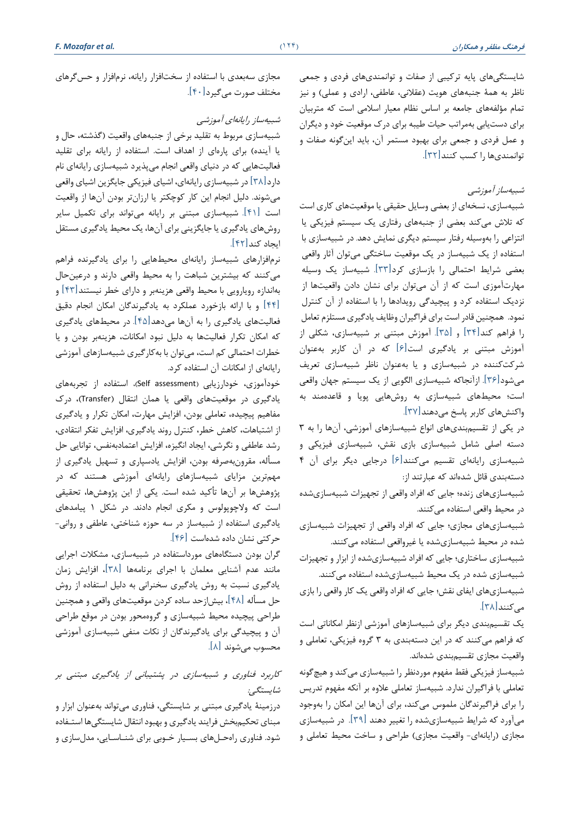شايستگی های پايه ترکیبی از صفات و توانمندی های فردی و جمعی ناظر به همهٔ جنبههای هویت (عقلانی، عاطفی، ارادی و عملی) و نیز تمام مؤلفههای جامعه بر اساس نظام معیار اسلامی است که متربیان برای دست يابی بهمراتب حیات طیبه برای درك موقعیت خود و ديگران و عمل فردی و جمعی برای بهبود مستمر آن، بايد اين گونه صفات و توانمندی ها را کسب کنند]32[.

## شبیهساز آموزشی

شبیهسازی، نسخه ای از بعضی وسايل حقیقی يا موقعیتهای کاری است که تالش می کند بعضی از جنبههای رفتاری يک سیستم فیزيكی يا انتزاعی را به وسیله رفتار سیستم ديگری نمايش دهد. در شبیهسازی با استفاده از يک شبیه ساز در يک موقعیت ساختگی می توان آثار واقعی بعضی شرايط احتمالی را بازسازی کرد]33[. شبیه ساز يک وسیله مهارت آموزی است که از آن می توان برای نشان دادن واقعیت ها از نزديک استفاده کرد و پیچیدگی رويدادها را با استفاده از آن کنترل نمود. همچنین قادر است برای فراگیران وظایف یادگیری مستلزم تعامل را فراهم کند]34[ و ]35[. آموزش مبتنی بر شبیهسازی، شكلی از آموزش مبتنی بر يادگیری است ]6[ که در آن کاربر بهعنوان شرکت کننده در شبیهسازی و يا بهعنوان ناظر شبیهسازی تعري میشود[۳۶]. ازآنجاکه شبیهسازی الگويی از يک سيستم جهان واقعی است؛ محیطهای شبیهسازی به روشهایی پویا و قاعدهمند به واکنش های کاربر پاسخ می دهند [۳۷]

در يكی از تقسیمبندیهای انواع شبیهسازهای آموزشی، آن ها را به 3 دسته اصلی شامل شبیهسازی بازی نقش، شبیه سازی فیزيكی و شبیهسازی رايانهای تقسیم میکنند [۶] درجايی ديگر برای آن ۴ دستهبندی قائل شده اند که عبارتند از:

شبیهسازی های زنده؛ جايی که افراد واقعی از تجهیزات شبیهسازی شده در محیط واقعی استفاده می کنند.

شبیهسازی های مجازی؛ جايی که افراد واقعی از تجهیزات شبیهسازی شده در محیط شبیهسازی شده يا غیرواقعی استفاده میکنند.

شبیهسازی ساختاری؛ جايی که افراد شبیهسازی شده از ابزار و تجهیزات شبیهسازی شده در يک محیط شبیهسازی شده استفاده می کنند.

شبیهسازی های ايفای نقش؛ جايی که افراد واقعی يک کار واقعی را بازی می کنند [۳۸].

يک تقسیمبندی ديگر برای شبیه سازهای آموزشی ازنظر امكاناتی است که فراهم میکنند که در اين دستهبندی به 3 گروه فیزيكی، تعاملی و واقعیت مجازی تقسیمبندی شده اند.

شبیهساز فیزيكی فقط مفهوم موردنظر را شبیهسازی می کند و هیچگونه تعاملی با فراگیران ندارد. شبیهساز تعاملی عالوه بر آنكه مفهوم تدريس را برای فراگیرندگان ملمو می کند، برای آن ها اين امكان را به وجود میآورد که شرايط شبیه سازی شده را تغییر دهند ]39[. در شبیهسازی مجازی (رايانهای- واقعیت مجازی) طراحی و ساخت محیط تعاملی و

مجازی سه بعدی با استفاده از سخت افزار رايانه ، نرم افزار و حس گرهای مختلف صورت میگیرد[۴۰].

شبیهساز رایانهای آموزشی

شبیهسازی مربوط به تقلید برخی از جنبههای واقعیت )گذشته، حال و يا آينده) برای پارهای از اهداف است. استفاده از رايانه برای تقليد فعالیتهايی که در دنیای واقعی انجام میپذيرد شبیهسازی رايانه ای نام دارد[٣٨] در شبیهسازی رايانهای، اشيای فيزيكي جايگزين اشياي واقعی میشوند. دلیل انجام اين کار کوچكتر يا ارزان تر بودن آنها از واقعیت است ]41[. شبیهسازی مبتنی بر رايانه میتواند برای تكمیل ساير روش های يادگیری يا جايگزينی برای آنها، يک محیط يادگیری مستقل ايجاد کند]42[.

نرم افزارهای شبیه ساز رايانهای محیطهايی را برای يادگيرنده فراهم میکنند که بیشترين شباهت را به محیط واقعی دارند و درعین حال بهاندازه رويارويی با محیط واقعی هزينهبر و دارای خطر نیستند]43[ و ]44[ و با ارائه بازخورد عملكرد به يادگیرندگان امكان انجام دقیق فعالیتهای يادگیری را به آن ها میدهد]45[. در محیط های يادگیری که امكان تكرار فعالیت ها به دلیل نبود امكانات، هزينه بر بودن و يا خطرات احتمالی کم است، می توان با بهکارگیری شبیه سازهای آموزشی رايانه ای از امكانات آن استفاده کرد.

خودآموزی، خودارزيابی (Self assessment)، استفاده از تجربههای يادگیری در موقعیت های واقعی يا همان انتقال )Transfer)، درك مفاهیم پیچیده، تعاملی بودن، افزايش مهارت، امكان تكرار و يادگیری از اشتباهات، کاهش خطر، کنترل روند يادگیری، افزايش تفكر انتقادی، رشد عاطفی و نگرشی، ايجاد انگیزه، افزايش اعتمادبه نفس، توانايی حل مسأله، مقرون بهصرفه بودن، افزايش يادسپاری و تسهیل يادگیری از مهم ترين مزايای شبيهسازهای رايانهای آموزشی هستند که در پژوهش ها بر آن ها تأکید شده است. يكی از اين پژوهش ها، تحقیقی است که ولاچوپولوس و مكری انجام دادند. در شكل ۱ پیامدهای يادگیری استفاده از شبیهساز در سه حوزه شناختی، عاطفی و روانی - حرکتی نشان داده شده است ]46[.

گران بودن دستگاههای مورداستفاده در شبیهسازی، مشكلات اجرايی مانند عدم آشنايی معلمان با اجرای برنامه ها ]38[، افزايش زمان يادگیری نسبت به روش يادگیری سخنرانی به دلیل استفاده از روش حل مسأله ]48[، بیش ازحد ساده کردن موقعیت های واقعی و همچنین طراحی پیچیده محیط شبیهسازی و گروهمحور بودن در موقع طراحی آن و پیچیدگی برای يادگیرندگان از نكات منفی شبیهسازی آموزشی محسوب می شوند ]8[.

# کاربرد فناوری و شبیهسازی در پشتیبانی از يادگیری مبتنی بر شايستگی:

درزمینة يادگیری مبتنی بر شايستگی، فناوری میتواند بهعنوان ابزار و مبنای تحكیمبخش فرايند يادگیری و بهبود انتقال شايستگی ها استتفاده شود. فناوری راه حلهای بسیار خوبی برای شناسایی، مدل سازی و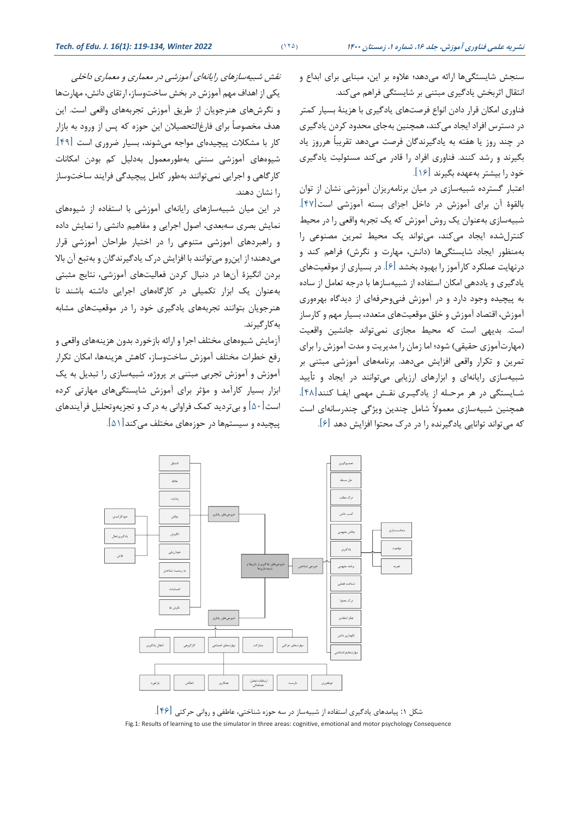سنجش شايستگیها ارائه می دهد؛ عالوه بر اين، مبنايی برای ابداع و انتقال اثربخش يادگیری مبتنی بر شايستگی فراهم میکند. فناوری امكان قرار دادن انواع فرصت های يادگیری با هزينة بسیار کمتر در دسترس افراد ايجاد می کند، همچنین بهجای محدود کردن يادگيری در چند روز يا هفته به يادگیرندگان فرصت میدهد تقريباً هرروز ياد بگیرند و رشد کنند. فناوری افراد را قادر میکند مسئولیت يادگیری خود را بیشتر به عهده بگیرند ]16[.

اعتبار گسترده شبیهسازی در میان برنامهريزان آموزشی نشان از توان بالقوة آن برای آموزش در داخل اجزای بسته آموزشی است]47[. شبیهسازی بهعنوان يک روش آموزش که يک تجربه واقعی را در محیط کنترل شده ايجاد میکند، میتواند يک محیط تمرين مصنوعی را بهمنظور ايجاد شايستگی ها )دانش، مهارت و نگرش( فراهم کند و درنهايت عملكرد کارآموز را بهبود بخشد ]6[. در بسیاری از موقعیت های يادگیری و ياددهی امكان استفاده از شبیهسازها با درجه تعامل از ساده به پیچیده وجود دارد و در آموزش فنیوحرفه ای از ديدگاه بهره وری آموزش، اقتصاد آموزش و خلق موقعیتهای متعدد، بسیار مهم و کارساز است. بديهی است که محیط مجازی نمیتواند جانشین واقعیت (مهارتآموزی حقیقی) شود؛ اما زمان را مديريت و مدت آموزش را برای تمرين و تكرار واقعی افزايش می دهد. برنامه های آموزشی مبتنی بر شبیهسازی رايانهای و ابزارهای ارزيابی میتوانند در ايجاد و تأييد شتايستگی در هر مرحتله از يادگیتری نقتش مهمی ايفتا کنند]48[ . همچنین شبیهسازی معمولاً شامل چندین ویژگی چندرسانهای است که میتواند توانايی يادگیرنده را در درك محتوا افزايش دهد ] 6[.

نقش شبیهسازهای رایانهای آموزشی در معماری و معماری داخلی يكی از اهداف مهم آموزش در بخش ساخت وساز، ارتقای دانش، مهارت ها و نگرش های هنرجويان از طريق آموزش تجربه های واقعی است. اين هدف مخصوصاً برای فارغ التحصیالن اين حوزه که پس از ورود به بازار کار با مشکلات پیچیدهای مواجه میشوند، بسیار ضروری است  $\lceil$ ۴۹. شیوههای آموزشی سنتی بهطورمعمول بهدلیل کم بودن امکانات کارگاهی و اجرايی نمیتوانند بهطور کامل پیچیدگی فرايند ساخت وساز را نشان دهند.

در اين ميان شبيهسازهای رايانهای آموزشی با استفاده از شيوههای نمايش بصری سهبعدی ، اصول اجرايی و مفاهیم دانشی را نمايش داده و راهبردهای آموزشی متنوعی را در اختیار طراحان آموزشی قرار میدهند؛ از اين رو می توانند با افزايش درك يادگیرندگان و به تبع آن باال بردن انگیزة آن ها در دنبال کردن فعالیت های آموزشی، نتايج مثبتی بهعنوان يک ابزار تكمیلی در کارگاه های اجرايی داشته باشند تا هنرجويان بتوانند تجربه های يادگیری خود را در موقعیت های مشابه بهکارگیرند.

آزمايش شيوههای مختلف اجرا و ارائه بازخورد بدون هزينههای واقعی و رفع خطرات مختلف آموزش ساختوساز، كاهش هزينهها، امكان تكرار آموزش و آموزش تجربی مبتنی بر پروژه ، شبیهسازی را تبديل به يک ابزار بسیار کارآمد و مؤثر برای آموزش شايستگیهای مهارتی کرده است ]50[ و بیترديد کمک فراوانی به درك و تجزيهوتحلیل فرآيندهای پیچیده و سیستمها در حوزههای مختلف می کند [۵۱].



شكل :1 پیامدهای يادگیری استفاده از شبیهساز در سه حوزه شناختی، عاطفی و روانی حرکتی ]46[. Fig.1: Results of learning to use the simulator in three areas: cognitive, emotional and motor psychology Consequence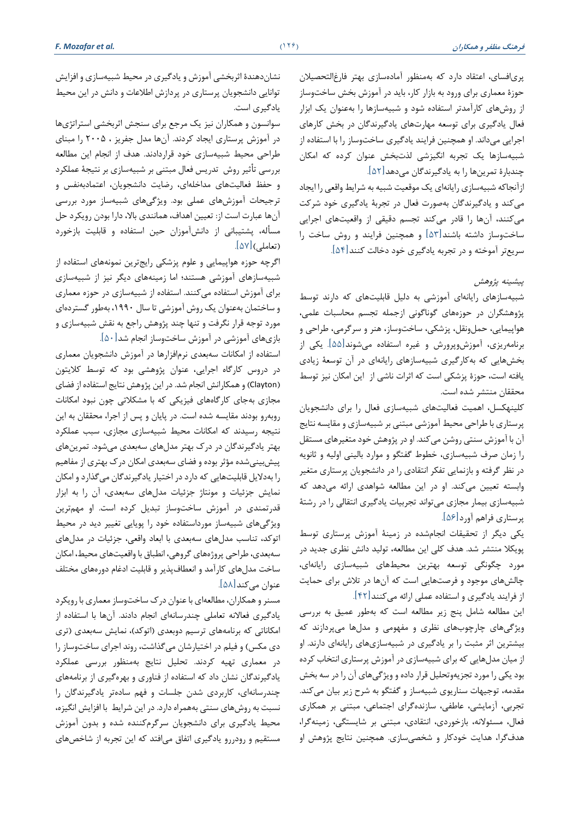**فرهنگ مظفر و همکاران )**126**(** *.al et Mozafar .F*

نشان دهندة اثربخشی آموزش و يادگیری در محیط شبیه سازی و افزايش توانايی دانشجويان پرستاری در پردازش اطالعات و دانش در اين محیط يادگیری است.

سوانسون و همكاران نیز يک مرجع برای سنجش اثربخشی استراتژی ها در آموزش پرستاری ايجاد کردند. آن ها مدل جفريز ، 2005 را مبنای طراحی محیط شبیهسازی خود قراردادند. هدف از انجام اين مطالعه بررسی تأثیر روش تدريس فعال مبتنی بر شبیهسازی بر نتیجة عملكرد و حفظ فعالیت های مداخله ای، رضايت دانشجويان، اعتمادبه نفس و ترجیحات آموزش های عملی بود. ويژگیهای شبیه ساز مورد بررسی آنها عبارت است از: تعیین اهداف، همانندی باال، دارا بودن رويكرد حل مسأله، پشتیبانی از دانش آموزان حین استفاده و قابلیت بازخورد (تعاملی) $[\delta V]$ .

اگرچه حوزه هواپیمايی و علوم پزشكی رايجترين نمونههای استفاده از شبیهسازهای آموزشی هستند؛ اما زمینههای ديگر نیز از شبیهسازی برای آموزش استفاده می کنند. استفاده از شبیهسازی در حوزه معماری و ساختمان به عنوان يک روش آموزشی تا سال ،1990 بهطور گستردهای مورد توجه قرار نگرفت و تنها چند پژوهش راجع به نقش شبیهسازی و بازی های آموزشی در آموزش ساخت وساز انجام شد]50[.

استفاده از امكانات سه بعدی نرم افزارها در آموزش دانشجويان معماری در دروس کارگاه اجرايی، عنوان پژوهشی بود که توسط کلايتون )Clayton )و همكارانش انجام شد. در اين پژوهش نتايج استفاده از فضای مجازی بهجای کارگاههای فیزیكی که با مشكلاتی چون نبود امكانات روبه رو بودند مقايسه شده است. در پايان و پس از اجرا، محققان به اين نتیجه رسیدند که امکانات محیط شبیهسازی مجازی، سبب عملکرد بهتر يادگیرندگان در درك بهتر مدل های سه بعدی می شود. تمرينهای پیش بینیشده مؤثر بوده و فضای سه بعدی امكان درك بهتری از مفاهیم را بهداليل قابلیتهايی که دارد در اختیار يادگیرندگان می گذارد و امكان نمايش جزئیات و مونتاژ جزئیات مدل های سه بعدی ، آن را به ابزار قدرتمندی در آموزش ساخت وساز تبديل کرده است. او مهم ترين ويژگیهای شبیه ساز مورداستفاده خود را پويايی تغییر ديد در محیط اتوکد، تناسب مدل های سهبعدی با ابعاد واقعی، جزئیات در مدل های سهبعدی ، طراحی پروژه های گروهی، انطباق با واقعیتهای محیط، امكان ساخت مدل های کارآمد و انعطاف پذير و قابلیت ادغام دوره های مختل عنوان می کند[۵۸].

مسنر و همكاران، مطالعه ای با عنوان درك ساخت وساز معماری با رويكرد يادگيری فعالانه تعاملی چندرسانهای انجام دادند. آنها با استفاده از امکاناتی که برنامههای ترسیم دوبعدی (اتوکد)، نمايش سهبعدی (تری دی مكس( و فیلم در اختیارشان میگذاشت، روند اجرای ساخت وساز را در معماری تهیه کردند. تحلیل نتايج بهمنظور بررسی عملكرد يادگیرندگان نشان داد که استفاده از فناوری و بهره گیری از برنامه های چندرسانه ای، کاربردی شدن جلسات و فهم سادهتر يادگیرندگان را نسبت به روشهای سنتی بههمراه دارد. در اين شرايط با افزايش انگیزه، محیط يادگیری برای دانشجويان سرگرم کننده شده و بدون آموزش مستقیم و رودررو يادگیری اتفاق می افتد که اين تجربه از شاخص های پری افسای، اعتقاد دارد که بهمنظور آماده سازی بهتر فارغ التحصیالن حوزة معماری برای ورود به بازار کار، بايد در آموزش بخش ساخت وساز از روش های کارآمدتر استفاده شود و شبیهسازها را به عنوان يک ابزار فعال يادگیری برای توسعه مهارت های يادگیرندگان در بخش کارهای اجرايی میداند. او همچنین فرايند يادگیری ساخت وساز را با استفاده از شبیهسازها يک تجربه انگیزشی لذتبخش عنوان کرده که امكان چندبارة تمرينها را به يادگیرندگان میدهد]52[.

ازآنجا که شبیهسازی رايانه ای يک موقعیت شبیه به شرايط واقعی را ايجاد میکند و يادگیرندگان بهصورت فعال در تجربة يادگیری خود شرکت میکنند، آنها را قادر میکند تجسم دقیقی از واقعیتهای اجرايی ساخت وساز داشته باشند]53[ و همچنین فرايند و روش ساخت را سريع تر آمو خته و در تجربه يادگیری خود دخالت کنند]54[.

پیشینه پژوهش

شبیهسازهای رایانهای آموزشی به دلیل قابلیتهای که دارند توسط پژوهشگران در حوزه های گوناگونی ازجمله تجسم محاسبات علمی، هواپیمايی، حملونقل، پزشكی، ساختوساز، هنر و سرگرمی، طراحی و برنامه ريزی، آموزش وپرورش و غیره استفاده می شوند ]55[. يكی از بخش هايی که بهکارگیری شبیهسازهای رايانه ای در آن توسعة زيادی يافته است، حوزة پزشكی است که اثرات ناشی از اين امكان نیز توسط محققان منتشر شده است.

کلینهكسل، اهمیت فعالیت های شبیهسازی فعال را برای دانشجويان پرستاری با طراحی محیط آموزشی مبتنی بر شبیهسازی و مقايسه نتايج آن با آموزش سنتی روشن میکند. او در پژوهش خود متغیرهای مستقل را زمان صرف شبیهسازی، خطوط گفتگو و موارد بالینی اولیه و ثانويه در نظر گرفته و بازنمايی تفكر انتقادی را در دانشجويان پرستاری متغیر وابسته تعیین میکند. او در اين مطالعه شواهدی ارائه می دهد که شبیهسازی بیمار مجازی میتواند تجربیات يادگیری انتقالی را در رشتة پرستاری فراهم آورد]56[.

يكی ديگر از تحقیقات انجام شده در زمینة آموزش پرستاری توسط پويكال منتشر شد. هدف کلی اين مطالعه، تولید دانش نظری جديد در مورد چگونگی توسعه بهترين محیطهای شبیهسازی رايانه ای ، چالش های موجود و فرصت هايی است که آنها در تالش برای حمايت از فرايند يادگیری و استفاده عملی ارائه میکنند]42[.

اين مطالعه شامل پنج زير مطالعه است که بهطور عمیق به بررسی ويژگیهای چارچوب های نظری و مفهومی و مدل ها می پردازند که بیشترین اثر مثبت را بر یادگیری در شبیهسازیهای رایانهای دارند. او از میان مدل هايی که برای شبیه سازی در آموزش پرستاری انتخاب کرده بود يكی را مورد تجزيه وتحلیل قرار داده و ويژگیهای آن را در سه بخش مقدمه، توجیهات سناريوی شبیه ساز و گفتگو به شرح زير بیان میکند. تجربی، آزمايشی، عاطفی، سازنده گرای اجتماعی، مبتنی بر همكاری فعال، مسئوالنه، بازخوردی، انتقادی، مبتنی بر شايستگی، زمینهگرا، هدف گرا، هدايت خودکار و شخصی سازی. همچنین نتايج پژوهش او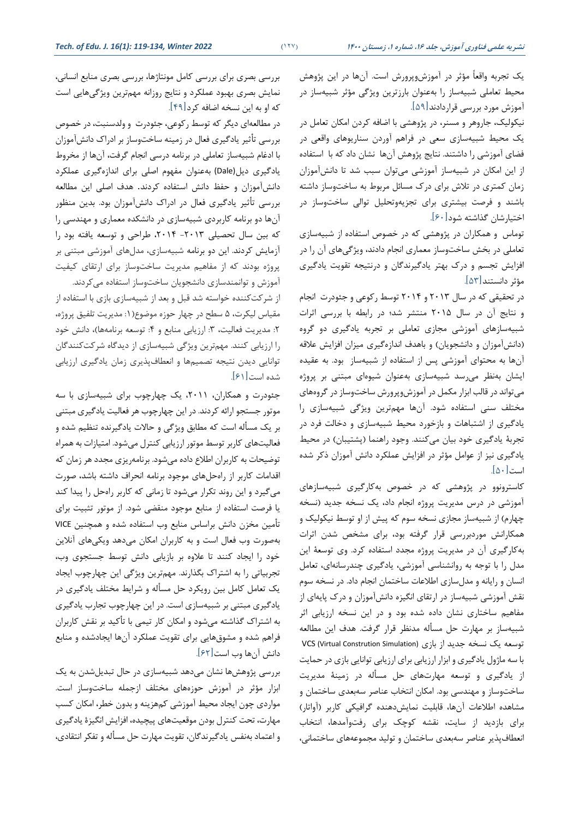يک تجربه واقعاً مؤثر در آموزش وپرورش است. آنها در اين پژوهش محیط تعاملی شبیهساز را به عنوان بارزترين ويژگی مؤثر شبیه ساز در آموزش مورد بررسی قراردادند]59[ .

نیكولیک، جاروهر و مسنر، در پژوهشی با اضافه کردن امكان تعامل در يک محیط شبیهسازی سعی در فراهم آوردن سناريوهای واقعی در فضای آموزشی را داشتند. نتايج پژوهش آن ها نشان داد که با استفاده از اين امكان در شبیه ساز آموزشی میتوان سبب شد تا دانش آموزان زمان کمتری در تالش برای درك مسائل مربوط به ساخت وساز داشته باشند و فرصت بیشتری برای تجزيهوتحلیل توالی ساخت وساز در اختیارشان گذاشته شود ]60[ .

توماس و همكاران در پژوهشی كه در خصوص استفاده از شبیهسازی تعاملی در بخش ساخت وساز معماری انجام دادند، ويژگیهای آن را در افزايش تجسم و درك بهتر يادگیرندگان و درنتیجه تقويت يادگیری مؤثر دانستند]53[.

در تحقیقی که در سال 2013 و 2014 توسط رکوعی و جئودرت انجام و نتايج آن در سال 2015 منتشر شد؛ در رابطه با بررسی اثرات شبیهسازهای آموزشی مجازی تعاملی بر تجربه يادگیری دو گروه (دانش آموزان و دانشجويان) و باهدف اندازهگيری ميزان افزايش علاقه آنها به محتوای آموزشی پس از استفاده از شبیهساز بود. به عقیده ايشان بهنظر می رسد شبيه سازی به عنوان شيوهای مبتنی بر پروژه میتواند در قالب ابزار مكمل در آموزش وپرورش ساخت وساز در گروه های مختلف سنی استفاده شود. آنها مهمترين ويژگی شبيهسازی را يادگیری از اشتباهات و بازخورد محیط شبیهسازی و دخالت فرد در تجربهٔ يادگیری خود بیان میکنند. وجود راهنما (پشتیبان) در محیط يادگیری نیز از عوامل مؤثر در افزايش عملكرد دانش آموزان ذکر شده  $[\![\Delta\bm{\cdot}]\!]$ است

کاسترونوو در پژوهشی که در خصوص بهکارگیری شبیه سازهای آموزشی در درس مديريت پروژه انجام داد، يک نسخه جديد (نسخه چهارم) از شبیهساز مجازی نسخه سوم که پیش از او توسط نیكولیک و همكارانش موردبررسی قرار گرفته بود، برای مشخص شدن اثرات بهکارگیری آن در مديريت پروژه مجدد استفاده کرد. وی توسعة اين مدل را با توجه به رو انشناسی آموزشی، يادگیری چندرسانه ای، تعامل انسان و رايانه و مدل سازی اطالعات ساختمان انجام داد. در نسخه سوم نقش آموزشی شبیهساز در ارتقای انگیزه دانش آموزان و درك پايه ای از مفاهیم ساختاری نشان داده شده بود و در اين نسخه ارزيابی اثر شبیهساز بر مهارت حل مسأله مدنظر قرار گرفت. هدف اين مطالعه توسعه يک نسخه جديد از بازی (VCS (Virtual Constrution Simulation با سه ماژول يادگیری و ابزار ارزيابی برای ارزيابی توانايی بازی در حمايت از يادگیری و توسعه مهارت های حل مسأله در زمینة مديريت ساخت وساز و مهندسی بود. امكان انتخاب عناصر سه بعدی ساختمان و مشاهده اطالعات آنها، قابلیت نمايش دهنده گرافیكی کاربر )آواتار( برای بازديد از سايت، نقشه کوچک برای رفت وآمدها ، انتخاب انعطاف پذير عناصر سه بعدی ساختمان و تولید مجموعه های ساختمانی،

بررسی بصری برای بررسی کامل مونتاژها، بررسی بصری منابع انسانی، نمايش بصری بهبود عملكرد و نتايج روزانه مهم ترين ويژگیهايی است که او به اين نسخه اضافه کرد]49[.

در مطالعهای ديگر که توسط رکوعی، جئودرت و ولدسنبت، در خصوص بررسی تأثیر يادگیری فعال در زمینه ساخت وساز بر ادراك دانش آموزان با ادغام شبیه ساز تعاملی در برنامه درسی انجام گرفت، آن ها از مخروط يادگیری ديل(Dale (بهعنوان مفهوم اصلی برای اندازه گیری عملكرد دانش آموزان و حفظ دانش استفاده کردند. هدف اصلی اين مطالعه بررسی تأثیر يادگیری فعال در ادراك دانش آموزان بود. بدين منظور آنها دو برنامه کاربردی شبیهسازی در دانشكده معماری و مهندسی را که بین سال تحصیلی -2013 ،2014 طراحی و توسعه يافته بود را آزمايش کردند. اين دو برنامه شبیهسازی، مدل های آموزشی مبتنی بر پروژه بودند که از مفاهیم مديريت ساخت وساز برای ارتقای کیفیت آموزش و توانمندسازی دانشجويان ساخت وساز استفاده می کردند. از شرکت کننده خواسته شد قبل و بعد از شبیه سازی بازی با استفاده از مقیاس لیكرت، ۵ سطح در چهار حوزه موضوع(۱: مديريت تلفيق پروژه، ٢: مديريت فعاليت، ٣: ارزيابی منابع و ۴: توسعه برنامهها)، دانش خود را ارزيابی کنند. مهم ترين ويژگی شبیهسازی از ديدگاه شرکت کنندگان

توانايی ديدن نتیجه تصمیمها و انعطاف پذيری زمان يادگیری ارزيابی

شده است ]61[.

جئودرت و همکاران، ۲۰۱۱، یک چهارچوب برای شبیهسازی با سه موتور جستجو ارائه کردند. در اين چهارچوب هر فعالیت يادگیری مبتنی بر يک مسأله است که مطابق ويژگی و حاالت يادگیرنده تنظیم شده و فعالیتهای کاربر توسط موتور ارزيابی کنترل میشود. امتیازات به همراه توضیحات به کاربران اطالع داده می شود. برنامه ريزی مجدد هر زمان که اقدامات کاربر از راه حلهای موجود برنامه انحراف داشته باشد، صورت میگیرد و اين روند تكرار میشود تا زمانی که کاربر راه حل را پیدا کند يا فرصت استفاده از منابع موجود منقضی شود. از موتور تثبیت برای تأمین مخزن دانش براسا منابع وب استفاده شده و همچنین VICE بهصورت وب فعال است و به کاربران امكان میدهد ويكی های آنالين خود را ايجاد کنند تا عالوه بر بازيابی دانش توسط جستجوی وب، تجربیاتی را به اشتراك بگذارند. مهم ترين ويژگی اين چهارچوب ايجاد يک تعامل کامل بین رويكرد حل مسأله و شرايط مختل يادگیری در يادگیری مبتنی بر شبیهسازی است. در اين چهارچوب تجارب يادگیری به اشتراك گذاشته می شود و امكان کار تیمی با تأکید بر نقش کاربران فراهم شده و مشوق هايی برای تقويت عملكرد آن ها ايجادشده و منابع دانش آن ها وب است ]62[.

بررسی پژوهش ها نشان می دهد شبیهسازی در حال تبديلشدن به يک ابزار مؤثر در آموزش حوزههای مختلف ازجمله ساختوساز است. مواردی چون ايجاد محیط آموزشی کمهزينه و بدون خطر، امكان کسب مهارت، تحت کنترل بودن موقعیتهای پیچیده، افزايش انگیزة يادگیری و اعتماد به نفس يادگیرندگان، تقويت مهارت حل مسأله و تفكر انتقادی،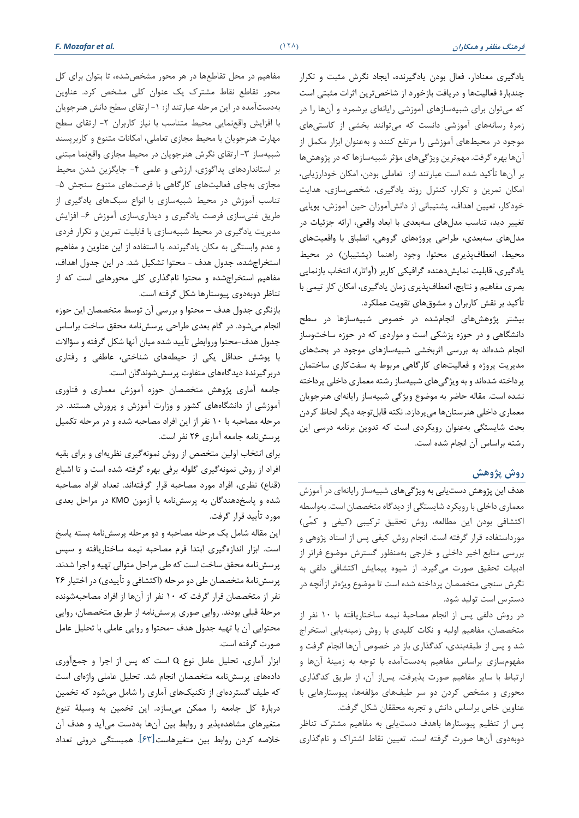يادگیری معنادار، فعال بودن يادگیرنده، ايجاد نگرش مثبت و تكرار چند بارة فعالیت ها و دريافت بازخورد از شاخص ترين اثرات مثبتی است که میتوان برای شبیهسازهای آموزشی رایانهای برشمرد و آنها را در زمرة رسانه های آموزشی دانست که میتوانند بخشی از کاستی های موجود در محیطهای آموزشی را مرتفع کنند و بهعنوان ابزار مكمل از آنها بهره گرفت. مهم ترين ويژگیهای مؤثر شبیه سازها که در پژوهش ها بر آنها تأکید شده است عبارتند از: تعاملی بودن، امكان خودارزيابی، امكان تمرين و تكرار، کنترل روند يادگیری، شخصی سازی، هدايت خودکار، تعیین اهداف، پشتیبانی از دانش آموزان حین آموزش، پويايی تغییر ديد، تناسب مدل های سه بعدی با ابعاد واقعی، ارائه جزئیات در مدل های سه بعدی، طراحی پروژه های گروهی، انطباق با واقعیت های محیط، انعطاف پذيری محتوا، وجود راهنما )پشتیبان( در محیط يادگیری، قابلیت نمايش دهنده گرافیكی کاربر )آواتار( ، انتخاب بازنمايی بصری مفاهیم و نتايج، انعطاف پذيری زمان يادگیری، امكان کار تیمی با تأکید بر نقش کاربران و مشوق های تقويت عملكرد.

بیشتر پژوهش های انجام شده در خصوص شبیهسازها در سط دانشگاهی و در حوزه پزشكی است و مواردی که در حوزه ساخت وساز انجام شدهاند به بررسی اثربخشی شبیهسازهای موجود در بحثهای مديريت پروژه و فعالیت های کارگاهی مربوط به سفت کاری ساختمان پرداخته شدهاند و به ويژگیهای شبيهساز رشته معماری داخلی پرداخته نشده است. مقاله حاضر به موضوع ويژگی شبیهساز رايانه ای هنرجويان معماری داخلی هنرستانها میپردازد. نكته قابلتوجه ديگر لحاظ کردن بحث شايستگی به عنوان رويكردی است که تدوين برنامه درسی اين رشته براساس آن انجام شده است.

## **روش پژوهش**

هدف اين پژوهش دست يابی به ويژگیهای شبیه ساز رايانه ای در آموزش معماری داخلی با رويكرد شايستگی از ديدگاه متخصصان است. به واسطه اکتشافی بودن اين مطالعه، روش تحقيق ترکيبی (کيفی و کمّی) مورداستفاده قرار گرفته است. انجام روش کیفی پس از اسناد پژوهی و بررسی منابع اخیر داخلی و خارجی بهمنظور گسترش موضوع فراتر از ادبیات تحقیق صورت می گیرد. از شیوه پیمايش اکتشافی دلفی به نگرش سنجی متخصصان پرداخته شده است تا موضوع ويژه تر ازآنچه در دسترس است تولید شود.

در روش دلفی پس از انجام مصاحبة نیمه ساختاريافته با 10 نفر از متخصصان، مفاهیم اولیه و نكات کلیدی با روش زمینه يابی استخرا شد و پس از طبقه بندی ، کدگذاری باز در خصوص آن ها انجام گرفت و مفهومسازی براساس مفاهیم بهدستآمده با توجه به زمینهٔ آنها و ارتباط با ساير مفاهیم صورت پذيرفت. پس از آن، از طريق کدگذاری محوری و مشخص کردن دو سر طیفهای مؤلفهها، پیوستارهایی با عناوين خاص براساس دانش و تجربه محققان شكل گرفت.

پس از تنظیم پیوستارها باهدف دستيابی به مفاهیم مشترك تناظر دوبه دوی آنها صورت گرفته است. تعیین نقاط اشتراك و نام گذاری

مفاهیم در محل تقاطعها در هر محور مشخصشده، تا بتوان برای کل محور تقاطع نقاط مشترك يک عنوان کلی مشخص کرد. عناوين بهدست آمده در اين مرحله عبارتند از: -1 ارتقای سط دانش هنرجويان با افزايش واقع نمايی محيط متناسب با نياز كاربران ٢- ارتقاى سطح مهارت هنرجويان با محیط مجازی تعاملی، امكانات متنوع و کاربرپسند شبیهساز ۳- ارتقای نگرش هنرجویان در محیط مجازی واقعنما مبتنی بر استانداردهای پداگوژی، ارزشی و علمی -4 جايگزين شدن محیط مجازی به جای فعالیتهای کارگاهی با فرصتهای متنوع سنجش -5 تناسب آموزش در محیط شبیهسازی با انواع سبک های يادگیری از طريق غنیسازی فرصت يادگيری و ديداریسازی آموزش ۶- افزايش مديريت يادگیری در محیط شبیهسازی با قابلیت تمرين و تكرار فردی و عدم وابستگی به مكان يادگیرنده. با استفاده از اين عناوين و مفاهیم استخراجشده، جدول هدف - محتوا تشكیل شد. در این جدول اهداف، مفاهیم استخرا شده و محتوا نام گذاری کلی محورهايی است که از تناظر دوبه دوی پیوستارها شكل گرفته است.

بازنگری جدول هدف – محتوا و بررسی آن توسط متخصصان اين حوزه انجام می شود. در گام بعدی طراحی پرسش نامه محقق ساخت براسا جدول هدف-محتوا وروابطی تأيید شده میان آنها شكل گرفته و سؤاالت با پوشش حداقل يكی از حیطههای شناختی، عاطفی و رفتاری دربرگیرندة ديدگاه های متفاوت پرسش شوندگان است.

جامعه آماری پژوهش متخصصان حوزه آموزش معماری و فناوری آموزشی از دانشگاه های کشور و وزارت آموزش و پرورش هستند. در مرحله مصاحبه با 10 نفر از اين افراد مصاحبه شده و در مرحله تكمیل پرسش نامه جامعه آماری 26 نفر است.

برای انتخاب اولین متخصص از روش نمونهگیری نظريه ای و برای بقیه افراد از روش نمونه گیری گلوله برفی بهره گرفته شده است و تا اشباع (قناع) نظری، افراد مورد مصاحبه قرار گرفتهاند. تعداد افراد مصاحبه شده و پاسخ دهندگان به پرسش نامه با آزمون KMO در مراحل بعدی مورد تأيید قرار گرفت.

اين مقاله شامل يک مرحله مصاحبه و دو مرحله پرسش نامه بسته پاسخ است. ابزار اندازه گیری ابتدا فرم مصاحبه نیمه ساختاريافته و سپس پرسش نامه محقق ساخت است که طی مراحل متوالی تهیه و اجرا شدند. پرسش نامهٔ متخصصان طی دو مرحله (اکتشافی و تأييدی) در اختيار ۲۶ نفر از متخصصان قرار گرفت که 10 نفر از آنها از افراد مصاحبه شونده مرحلة قبلی بودند. روايی صوری پرسش نامه از طريق متخصصان، روايی محتوايی آن با تهیه جدول هدف -محتوا و روايی عاملی با تحلیل عامل صورت گرفته است.

ابزار آماری، تحلیل عامل نوع Q است که پس از اجرا و جمع آوری داده های پرسش نامه متخصصان انجام شد. تحلیل عاملی واژه ای است که طیف گستردهای از تکنیکهای آماری را شامل میشود که تخمین دربارة کل جامعه را ممكن می سازد. اين تخمین به وسیلة تنوع متغیرهای مشاهده پذير و روابط بین آنها بهدست میآيد و هدف آن خالصه کردن روابط بین متغیرهاست]63[. همبستگی درونی تعداد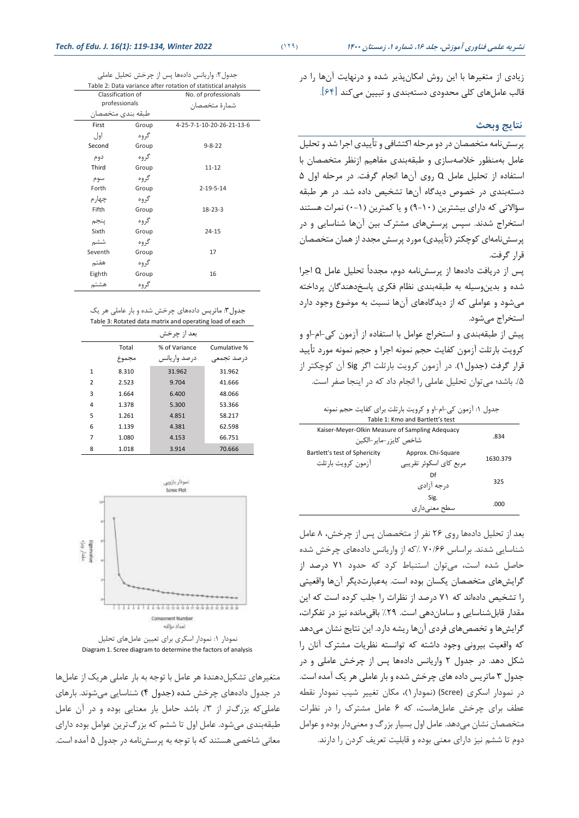جدول:2 واريانس داده ها پس از چرخش تحلیل عاملی

| Table 2: Data variance after rotation of statistical analysis |       |                           |  |  |  |
|---------------------------------------------------------------|-------|---------------------------|--|--|--|
| Classification of                                             |       | No. of professionals      |  |  |  |
| professionals                                                 |       | شمارة متخصصان             |  |  |  |
| طبقه بندى متخصصان                                             |       |                           |  |  |  |
| First                                                         | Group | 4-25-7-1-10-20-26-21-13-6 |  |  |  |
| اول                                                           | گروه  |                           |  |  |  |
| Second                                                        | Group | $9 - 8 - 22$              |  |  |  |
| دوم                                                           | گروه  |                           |  |  |  |
| Third                                                         | Group | $11 - 12$                 |  |  |  |
| سوم                                                           | گروه  |                           |  |  |  |
| Forth                                                         | Group | $2 - 19 - 5 - 14$         |  |  |  |
| چهار م                                                        | گروه  |                           |  |  |  |
| Fifth                                                         | Group | $18 - 23 - 3$             |  |  |  |
| ينجم                                                          | گروه  |                           |  |  |  |
| Sixth                                                         | Group | $24 - 15$                 |  |  |  |
| ششم                                                           | گروه  |                           |  |  |  |
| Seventh                                                       | Group | 17                        |  |  |  |
| هفتم                                                          | گروه  |                           |  |  |  |
| Eighth                                                        | Group | 16                        |  |  |  |
| هشتم                                                          | گروه  |                           |  |  |  |

جدول:3 ماتريس داده های چرخش شده و بار عاملی هر يک Table 3: Rotated data matrix and operating load of each

|                |       | بعد از چرخش   |              |
|----------------|-------|---------------|--------------|
|                | Total | % of Variance | Cumulative % |
|                | مجموع | درصد واریانس  | درصد تجمعى   |
| 1              | 8.310 | 31.962        | 31.962       |
| $\overline{2}$ | 2.523 | 9.704         | 41.666       |
| 3              | 1.664 | 6.400         | 48.066       |
| 4              | 1.378 | 5.300         | 53.366       |
| 5              | 1.261 | 4.851         | 58.217       |
| 6              | 1.139 | 4.381         | 62.598       |
| 7              | 1.080 | 4.153         | 66.751       |
| 8              | 1.018 | 3.914         | 70.666       |



نمودار ١: نمودار اسكری برای تعیین عاملهای تحلیل Diagram 1. Scree diagram to determine the factors of analysis

متغیرهای تشكیلدهندة هر عامل با توجه به بار عاملی هريک از عامل ها در جدول داده های چرخش شده )جدول 4( شناسايی میشوند. بارهای عاملی که بزرگتر از ٣/ باشد حامل بار معنايی بوده و در آن عامل طبقهبندی می شود. عامل اول تا ششم که بزرگترين عوامل بوده دارای معانی شاخصی هستند که با توجه به پرسش نامه در جدول 5 آمده است. زيادی از متغیرها با اين روش امكان پذير شده و درنهايت آن ها را در قالب عامل های کلی محدودی دسته بندی و تبیین میکند ]64[.

### **نتايج وبحث**

پرسش نامه متخصصان در دو مرحله اکتشافی و تأيیدی اجرا شد و تحلیل عامل به منظور خالصهسازی و طبقهبندی مفاهیم ازنظر متخصصان با استفاده از تحلیل عامل Q روی آنها انجام گرفت. در مرحله اول 5 دستهبندی در خصوص ديدگاه آن ها تشخیص داده شد. در هر طبقه سؤاالتی که دارای بیشترين )9-10( و يا کمترين )0-1( نمرات هستند استخراج شدند. سپس پرسشهای مشترک بین آنها شناسایی و در یر سش نامهای کوچکتر (تأيیدی) مورد پرسش مجدد از همان متخصصان قرار گرفت.

پس از دريافت داده ها از پرسش نامه دوم، مجدداً تحلیل عامل Q اجرا شده و بدين وسیله به طبقهبندی نظام فكری پاسخ دهندگان پرداخته میشود و عواملی که از ديدگاههای آنها نسبت به موضوع وجود دارد استخرا می شود.

پیش از طبقهبندی و استخراج عوامل با استفاده از آزمون کی-ام-او و کرويت بارتلت آزمون کفايت حجم نمونه اجرا و حجم نمونه مورد تأيید قرار گرفت )جدول1(. در آزمون کرويت بارتلت اگر Sig آن کوچكتر از ۰/۵ باشد؛ میتوان تحلیل عاملی را انجام داد که در اینجا صفر است.

جدول :1 آزمون کی-ام-او و کرويت بارتلت برای کفايت حجم نمونه

| Table 1: Kmo and Bartlett's test                                           |                                              |          |  |  |  |
|----------------------------------------------------------------------------|----------------------------------------------|----------|--|--|--|
| Kaiser-Meyer-Olkin Measure of Sampling Adequacy<br>شاخص كابز, -مابر -الكبن | .834                                         |          |  |  |  |
| Bartlett's test of Sphericity<br>آ;مون کرویت یا, تلت                       | Approx. Chi-Square<br>مربع کای اسکوئر تقریبی | 1630.379 |  |  |  |
|                                                                            | Df<br>د, جه آزادی                            | 325      |  |  |  |
|                                                                            | Sig.<br>سطح معنی دار ی                       | .000     |  |  |  |
|                                                                            |                                              |          |  |  |  |

بعد از تحلیل دادهها روی ۲۶ نفر از متخصصان پس از چرخش، ۸ عامل شناسايی شدند. براساس ۷۰/۶۶ ⁄۰ که از واريانس دادههای چرخش شده حاصل شده است، می توان استنباط کرد که حدود 71 درصد از گرايش های متخصصان يكسان بوده است. بهعبارت ديگر آنها واقعیتی را تشخیص داده اند که 71 درصد از نظرات را جلب کرده است که اين مقدار قابل شناسايی و سامان دهی است. %29 باقیمانده نیز در تفكرات، گرايش ها و تخصصهای فردی آن ها ريشه دارد. اين نتايج نشان میدهد که واقعیت بیرونی وجود داشته که توانسته نظريات مشترك آنان را شكل دهد. در جدول 2 واريانس دادهها پس از چرخش عاملی و در جدول 3 ماتريس داده های چرخش شده و بار عاملی هر يک آمده است. در نمودار اسكری (Scree( (نمودار1( ، مكان تغییر شیب نمودار نقطه عطف برای چرخش عامل هاست، که ۶ عامل مشترک را در نظرات متخصصان نشان می دهد. عامل اول بسیار بزرگ و معنیدار بوده و عوامل دوم تا ششم نیز دارای معنی بوده و قابلیت تعریف کردن را دارند.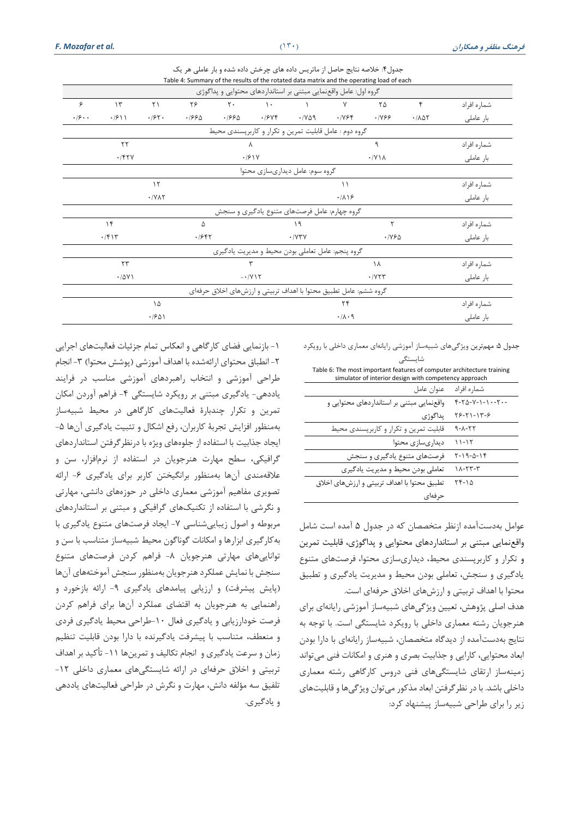|       |                                     |                                  |             |                                         |               | جدول۴: خلاصه نتایج حاصل از ماتریس داده های چرخش داده شده و بار عاملی هر یک<br>Table 4: Summary of the results of the rotated data matrix and the operating load of each |                                |                       |             |             |
|-------|-------------------------------------|----------------------------------|-------------|-----------------------------------------|---------------|-------------------------------------------------------------------------------------------------------------------------------------------------------------------------|--------------------------------|-----------------------|-------------|-------------|
|       |                                     |                                  |             |                                         |               | گروه اول: عامل واقعنمایی مبتنی بر استانداردهای محتوایی و پداگوژی                                                                                                        |                                |                       |             |             |
| ۶     | $\gamma$                            | $\Upsilon$                       | ٢۶          | $\mathsf{r}$ .                          | $\mathcal{L}$ |                                                                                                                                                                         | ٧                              | ۲۵                    | ۴           | شماره افراد |
| .19.1 | $\cdot$ / $\mathcal{S}$ ) $\lambda$ | .195.                            | .1990       | .1990                                   | .7946         | $\cdot$ / $\vee$ $\circ$ $\circ$                                                                                                                                        | .1199                          | .11999                | .7007       | بار عاملی   |
|       |                                     |                                  |             |                                         |               | گروه دوم : عامل قابلیت تمرین و تکرار و کاربرپسندی محیط                                                                                                                  |                                |                       |             |             |
|       | $\tau\tau$<br>Λ                     |                                  |             |                                         | ٩             |                                                                                                                                                                         | شماره افراد                    |                       |             |             |
|       | .751                                |                                  |             |                                         | .191Y         |                                                                                                                                                                         |                                | $\cdot$ /Y \ $\wedge$ |             | بار عاملی   |
|       |                                     |                                  |             |                                         |               | گروه سوم: عامل دیداریسازی محتوا                                                                                                                                         |                                |                       |             |             |
|       |                                     | $\lambda$                        |             |                                         |               |                                                                                                                                                                         | $\setminus$                    |                       |             | شماره افراد |
|       |                                     | $\cdot$ / $\vee$ $\wedge$ $\vee$ |             |                                         |               |                                                                                                                                                                         | .719                           |                       |             | بار عاملی   |
|       |                                     |                                  |             |                                         |               | گروه چهارم: عامل فرصتهای متنوع یادگیری و سنجش                                                                                                                           |                                |                       |             |             |
|       | $\gamma$                            |                                  | ۱۹<br>۵     |                                         |               | ٢                                                                                                                                                                       |                                | شماره افراد           |             |             |
|       | $\cdot$ /۴۱۳                        |                                  |             | .1987<br>$\cdot$ / $\gamma\gamma\gamma$ |               |                                                                                                                                                                         | $\cdot$ / $\sqrt{2}$ $\Delta$  |                       |             | بار عاملی   |
|       |                                     |                                  |             |                                         |               | گروه پنجم: عامل تعاملي بودن محيط و مديريت يادگيري                                                                                                                       |                                |                       |             |             |
|       | $\tau\tau$                          |                                  |             |                                         |               |                                                                                                                                                                         | ١٨                             |                       |             | شماره افراد |
|       | .701                                |                                  | $-1/\gamma$ |                                         |               |                                                                                                                                                                         | $\cdot$ / $\vee$ $\vee$ $\vee$ |                       | بار عاملی   |             |
|       |                                     |                                  |             |                                         |               | گروه ششم: عامل تطبیق محتوا با اهداف تربیتی و ارزشهای اخلاق حرفهای                                                                                                       |                                |                       |             |             |
|       |                                     | ۱۵                               |             |                                         |               |                                                                                                                                                                         | $\mathbf{Y}^{\mathbf{F}}$      |                       | شماره افراد |             |
|       |                                     | $\cdot$ / $501$                  |             |                                         | .11.9         |                                                                                                                                                                         |                                | بار عاملی             |             |             |

جدول ۵: مهمترين ويژگیهای شبيهساز آموزشی رايانهای معماری داخلی با رويكرد شايستگی

| Table 6: The most important features of computer architecture training<br>simulator of interior design with competency approach |                                 |  |  |  |
|---------------------------------------------------------------------------------------------------------------------------------|---------------------------------|--|--|--|
| عنوان عامل                                                                                                                      | شماره افراد                     |  |  |  |
| واقعنمایی مبتنی بر استانداردهای محتوایی و                                                                                       | $F - Y_0 - Y - 1 - 1 - 1 - 1 -$ |  |  |  |
| يداگوژي                                                                                                                         | $Y5 - Y1 - 1Y - 5$              |  |  |  |
| قابلیت تمرین و تکرار و کاربریسندی محیط                                                                                          | $9 - \Lambda - \Gamma \Gamma$   |  |  |  |
| دیداریسازی محتوا                                                                                                                | ۱۱-۱۲                           |  |  |  |
| فرصتهای متنوع یادگیری و سنجش                                                                                                    | $Y - 19 - 0 - 19$               |  |  |  |
| تعاملی بودن محیط و مدیریت یادگیری                                                                                               | $Y-YY-Y$                        |  |  |  |
| تطبيق محتوا با اهداف تربيتي و ارزشهاي اخلاق                                                                                     | $YF-1\Delta$                    |  |  |  |
| حرفهای                                                                                                                          |                                 |  |  |  |

عوامل به دستآمده ازنظر متخصصان که در جدول 5 آمده است شامل واقع نمايی مبتنی بر استانداردهای محتوايی و پداگوژی، قابلیت تمرين و تكرار و کاربرپسندی محیط، ديداری سازی محتوا، فرصت های متنوع يادگیری و سنجش، تعاملی بودن محیط و مديريت يادگیری و تطبیق محتوا با اهداف تربیتی و ارزش های اخالق حرفه ای است.

هدف اصلی پژوهش ، تعیین ويژگیهای شبیه ساز آموزشی رايانه ای برای هنرجويان رشته معماری داخلی با رويكرد شايستگی است. با توجه به نتايج بهدستآمده از ديدگاه متخصصان، شبيهساز رايانهای با دارا بودن ابعاد محتوايی، کارايی و جذابیت بصری و هنر ی و امكانات فنی میتواند زمینهساز ارتقای شايستگیهای فنی دروس كارگاهی رشته معماری داخلی باشد. با در نظرگرفتن ابعاد مذکور میتوان ويژگیها و قابلیتهای زير را برای طراحی شبیه ساز پیشنهاد کرد:

-1 بازنمايی فضای کارگاهی و انعكا تمام جزئیات فعالیت های اجرايی -2 انطباق محتوای ارائه شده با اهداف آموزشی )پوشش محتوا( -3 انجام طراحی آموزشی و انتخاب راهبردهای آموزشی مناسب در فرايند ياددهی- يادگیری مبتنی بر رويكرد شايستگی -4 فراهم آوردن امكان تمرين و تكرار چندبارة فعالیت های کارگاهی در محیط شبیهساز بهمنظور افزايش تجربهٔ کاربران، رفع اشكال و تثبيت يادگيري آنها ۵– ايجاد جذابیت با استفاده از جلوه های ويژه با درنظرگرفتن استانداردهای گرافیكی، سطح مهارت هنرجويان در استفاده از نرمافزار، سن و عالقه مندی آن ها بهمنظور برانگیختن کاربر برای يادگیری -6 ارائه تصويری مفاهیم آموزشی معماری داخلی در حوزه های دانشی، مهارتی و نگرشی با استفاده از تكنیک های گرافیكی و مبتنی بر استانداردهای مربوطه و اصول زيبايیشناسی ٧- ايجاد فرصتهای متنوع يادگيری با بهکارگیری ابزارها و امكانات گوناگون محیط شبیهساز متناسب با سن و توانايی های مهارتی هنرجويان -8 فراهم کردن فرصتهای متنوع سنجش با نمايش عملكرد هنرجويان بهمنظور سنجش آموخته های آن ها )پايش پیشرفت( و ارزيابی پیامدهای يادگیری -9 ارائه بازخورد و راهنمايی به هنرجويان به اقتضای عملكرد آن ها برای فراهم کردن فرصت خودارزيابی و يادگیری فعال -10طراحی محیط يادگیری فردی و منعطف، متناسب با پیشرفت یادگیرنده با دارا بودن قابلیت تنظیم زمان و سرعت يادگيري و انجام تكاليف و تمرينها ١١- تأكيد بر اهداف تربیتی و اخالق حرفه ای در ارائه شايستگیهای معماری داخلی -12 تلفیق سه مؤلفه دانش، مهارت و نگرش در طراحی فعالیت های ياددهی و يادگیری.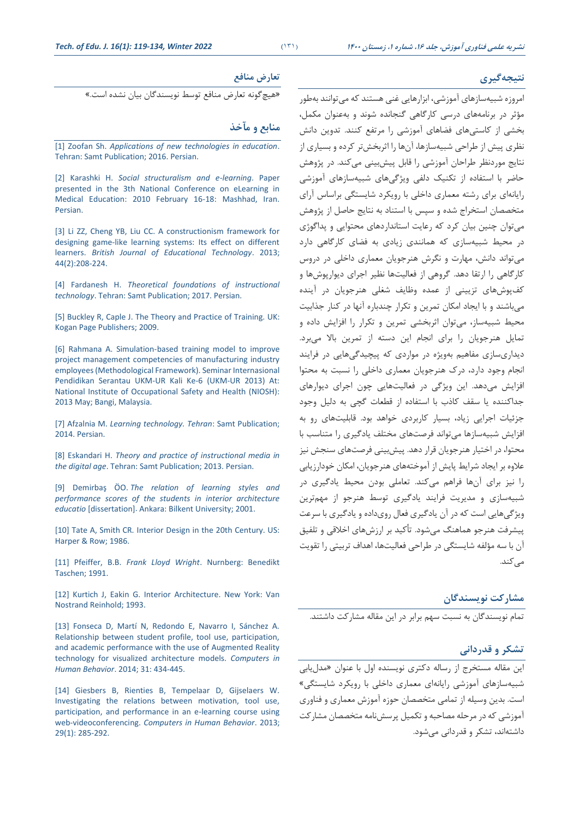### **نتيجهگيري**

### **تعارض منافع**

»هیچگونه تعارض منافع توسط نويسندگان بیان نشده است.«

# **منابع و مآخذ**

[1] Zoofan Sh. *[Applications of new technologies in education](https://samta.samt.ac.ir/content/13441/‎)*. [Tehran: Samt Publication; 2016. Persian.](https://samta.samt.ac.ir/content/13441/‎)

[2] Karashki H. *[Social structuralism and e-learning](https://www.sid.ir/fa/journal/ViewPaper.aspx?ID=262675‎)*. Paper presented in the [3th National Conference on eLearning in](https://www.sid.ir/fa/journal/ViewPaper.aspx?ID=262675‎)  [Medical Education: 2010 February 16-18: Mashhad, Iran](https://www.sid.ir/fa/journal/ViewPaper.aspx?ID=262675‎). [Persian.](https://www.sid.ir/fa/journal/ViewPaper.aspx?ID=262675‎)

[3] [Li ZZ, Cheng YB, Liu CC. A constructionism framework for](http://www.kvccdocs.com/ss-department/psychology/constructionism/Zhong-Zheng.pdf)  [designing game‐like learning systems: Its effect on different](http://www.kvccdocs.com/ss-department/psychology/constructionism/Zhong-Zheng.pdf)  learners. *British Journal [of Educational Technology](http://www.kvccdocs.com/ss-department/psychology/constructionism/Zhong-Zheng.pdf)*. 2013; [44\(2\):208-224.](http://www.kvccdocs.com/ss-department/psychology/constructionism/Zhong-Zheng.pdf)

[4] Fardanesh H. *[Theoretical foundations of instructional](http://samt.ac.ir/fa/book/690/‎)  technology*[. Tehran: Samt Publication; 2017. Persian.](http://samt.ac.ir/fa/book/690/‎)

[5] [Buckley R, Caple J. The Theory and Practice of Training. UK:](https://books.google.com/books/about/The_Theory_and_Practice_of_Training.html?id=HpQhYbF64aUC)  [Kogan Page Publishers; 2009.](https://books.google.com/books/about/The_Theory_and_Practice_of_Training.html?id=HpQhYbF64aUC)

[6] [Rahmana A. Simulation-based training model to improve](‎(PDF)%20SIMULATION-BASED%20TRAINING%20MODEL%20TO%20IMPROVE%20PROJECT%20MANAGEMENT%20COMPETENCIES%20OF%20MANUFACTURING%20‎INDUSTRY%20EMPLOYEES%20(METHODOLOGICAL%20FRAMEWORK)%20(researchgate.net)‎)  [project management competencies of](‎(PDF)%20SIMULATION-BASED%20TRAINING%20MODEL%20TO%20IMPROVE%20PROJECT%20MANAGEMENT%20COMPETENCIES%20OF%20MANUFACTURING%20‎INDUSTRY%20EMPLOYEES%20(METHODOLOGICAL%20FRAMEWORK)%20(researchgate.net)‎) manufacturing industry [employees \(Methodological Framework\).](‎(PDF)%20SIMULATION-BASED%20TRAINING%20MODEL%20TO%20IMPROVE%20PROJECT%20MANAGEMENT%20COMPETENCIES%20OF%20MANUFACTURING%20‎INDUSTRY%20EMPLOYEES%20(METHODOLOGICAL%20FRAMEWORK)%20(researchgate.net)‎) Seminar Internasional [Pendidikan Serantau UKM-UR Kali Ke-6 \(UKM-UR 2013\) At:](‎(PDF)%20SIMULATION-BASED%20TRAINING%20MODEL%20TO%20IMPROVE%20PROJECT%20MANAGEMENT%20COMPETENCIES%20OF%20MANUFACTURING%20‎INDUSTRY%20EMPLOYEES%20(METHODOLOGICAL%20FRAMEWORK)%20(researchgate.net)‎)  [National Institute of Occupational Safety and Health \(NIOSH\):](‎(PDF)%20SIMULATION-BASED%20TRAINING%20MODEL%20TO%20IMPROVE%20PROJECT%20MANAGEMENT%20COMPETENCIES%20OF%20MANUFACTURING%20‎INDUSTRY%20EMPLOYEES%20(METHODOLOGICAL%20FRAMEWORK)%20(researchgate.net)‎)  2013 May; [Bangi, Malaysia.](‎(PDF)%20SIMULATION-BASED%20TRAINING%20MODEL%20TO%20IMPROVE%20PROJECT%20MANAGEMENT%20COMPETENCIES%20OF%20MANUFACTURING%20‎INDUSTRY%20EMPLOYEES%20(METHODOLOGICAL%20FRAMEWORK)%20(researchgate.net)‎)

[7] Afzalnia M. *[Learning technology. Tehran](https://samta.samt.ac.ir/content/9461/‎)*: Samt Publication; [2014. Persian.](https://samta.samt.ac.ir/content/9461/‎)

[8] Eskandari H. *[Theory and practice of instructional media in](https://samta.samt.ac.ir/content/9518/‎)  the digital age*[. Tehran: Samt Publication; 2013. Persian.](https://samta.samt.ac.ir/content/9518/‎)

[9] Demirbaş ÖO. *[The relation of learning styles and](http://repository.bilkent.edu.tr/bitstream/handle/11693/14597/0001800.pdf?sequence=1‎)  [performance scores of the students in interior architecture](http://repository.bilkent.edu.tr/bitstream/handle/11693/14597/0001800.pdf?sequence=1‎)  educatio* [dissertation]. [Ankara: Bilkent University; 2001.](http://repository.bilkent.edu.tr/bitstream/handle/11693/14597/0001800.pdf?sequence=1‎)

[10] Tate A, Smith CR*.* [Interior Design in the 20th Century. US:](https://www.amazon.com/Interior-Design-20th-Century-Allen/dp/0060465840‎)  [Harper & Row; 1986.](https://www.amazon.com/Interior-Design-20th-Century-Allen/dp/0060465840‎)

[11] Pfeiffer, B.B. *Frank Lloyd Wright*[. Nurnberg: Benedikt](https://www.amazon.com/Frank-Lloyd-Wright-Brooks-Pfeiffer/dp/B000KVLWLK)  [Taschen; 1991.](https://www.amazon.com/Frank-Lloyd-Wright-Brooks-Pfeiffer/dp/B000KVLWLK)

[12] [Kurtich J, Eakin G. Interior Architecture. New York: Van](https://archive.org/details/interiorarchitec0000kurt/mode/2up)  [Nostrand Reinhold; 1993.](https://archive.org/details/interiorarchitec0000kurt/mode/2up)

[13] [Fonseca D, Martí N, Redondo E, Navarro I, Sánchez A.](https://www.sciencedirect.com/science/article/abs/pii/S0747563213000952‎)  [Relationship between student profile, tool use, participation,](https://www.sciencedirect.com/science/article/abs/pii/S0747563213000952‎)  [and academic performance with the use of Augmented Reality](https://www.sciencedirect.com/science/article/abs/pii/S0747563213000952‎)  [technology for visualized architecture models.](https://www.sciencedirect.com/science/article/abs/pii/S0747563213000952‎) *Computers in Human Behavior*[. 2014; 31: 434-445.](https://www.sciencedirect.com/science/article/abs/pii/S0747563213000952‎)

[14] [Giesbers B, Rienties B, Tempelaar D, Gijselaers W.](https://oro.open.ac.uk/39487/1/Preprint_Investigating_the_Relations.pdf)  [Investigating the relations between motivation, tool use,](https://oro.open.ac.uk/39487/1/Preprint_Investigating_the_Relations.pdf)  [participation, and performance in an e-learning course using](https://oro.open.ac.uk/39487/1/Preprint_Investigating_the_Relations.pdf)  web-videoconferencing. *[Computers in Human Behavior](https://oro.open.ac.uk/39487/1/Preprint_Investigating_the_Relations.pdf)*. 2013; 29(1): [285-292.](https://oro.open.ac.uk/39487/1/Preprint_Investigating_the_Relations.pdf)

امروزه شبیه سازهای آموزشی، ابزارهاي ی غنی هستند که میتوانند بهطور مؤثر در برنامه های درسی کارگاهی گنجانده شوند و به عنوان مكمل، بخشی از کاستیهای فضاهای آموزشی را مرتفع کنند. تدوين دانش نظری پیش از طراحی شبیهسازها، آنها را اثربخشتر کرده و بسیاری از نتايج موردنظر طراحان آموزشی را قابل پیش بینی میکند. در پژوهش حاضر با استفاده از تكنیک دلفی ويژگیهای شبیهسازهای آموزشی رايانهای برای رشته معماری داخلی با رويكرد شايستگی براساس آرای متخصصان استخراج شده و سپس با استناد به نتايج حاصل از پژوهش میتوان چنین بیان کرد که رعايت استانداردهای محتوايی و پداگوژی در محیط شبیهسازی که همانندی زيادی به فضای کارگاهی دارد میتواند دانش، مهارت و نگرش هنرجويان معماری داخلی در درو کارگاهی را ارتقا دهد. گروهی از فعالیتها نظیر اجرای ديوارپوش ها و کف پوش های تزيينی از عمده وظايف شغلی هنرجويان در آينده میباشند و با ايجاد امكان تمرين و تكرار چندباره آنها در كنار جذابيت محیط شبیهساز، میتوان اثربخشی تمرين و تكرار را افزايش داده و تمايل هنرجويان را برای انجام اين دسته از تمرين باال میبرد. ديداری سازی مفاهیم بهويژه در مواردی که پیچیدگیهايی در فرايند انجام وجود دارد، درك هنرجويان معماری داخلی را نسبت به محتوا افزايش می دهد. اين ويژگی در فعالیتهايی چون اجرای ديوارهای جداکننده يا سقف کاذب با استفاده از قطعات گچی به دليل وجود جزئیات اجرايی زياد، بسیار کاربردی خواهد بود. قابلیتهای رو به افزايش شبیهسازها می تواند فرصتهای مختلف يادگیری را متناسب با محتوا ، در اختیار هنرجويان قرار دهد. پیش بینی فرصتهای سنجش نیز عالوه بر ايجاد شرايط پايش از آموخته های هنرجويان، امكان خودارزيابی را نیز برای آن ها فراهم میکند. ت عاملی بودن محیط يادگیری در شبیهسازی و مديريت فرايند يادگیری توسط هنرجو از مهم ترين ويژگیهايی است که در آن يادگیری فعال روی داده و يادگیری با سرعت پیشرفت هنرجو هماهنگ می شود. تأکید بر ارزش های اخالقی و تلفیق آن با سه مؤلفه شايستگی در طراحی فعالیتها، اهداف تربیتی را تقويت میکند.

## **مشارکت نويسندگان**

تمام نويسندگان به نسبت سهم برابر در اين مقاله مشارکت داشتند.

### **تشکر و قدردانی**

اين مقاله مستخر از رساله دکتری نويسنده اول با عنوان »مدل يابی شبیهسازهای آموزشی رايانه ای معماری داخلی با رويكرد شايستگی« است. بدين وسیله از تمامی متخصصان حوزه آموزش معماری و فناوری آموزشی که در مرحله مصاحبه و تكمیل پرسش نامه متخصصان مشارکت داشته اند، تشكر و قدردانی می شود.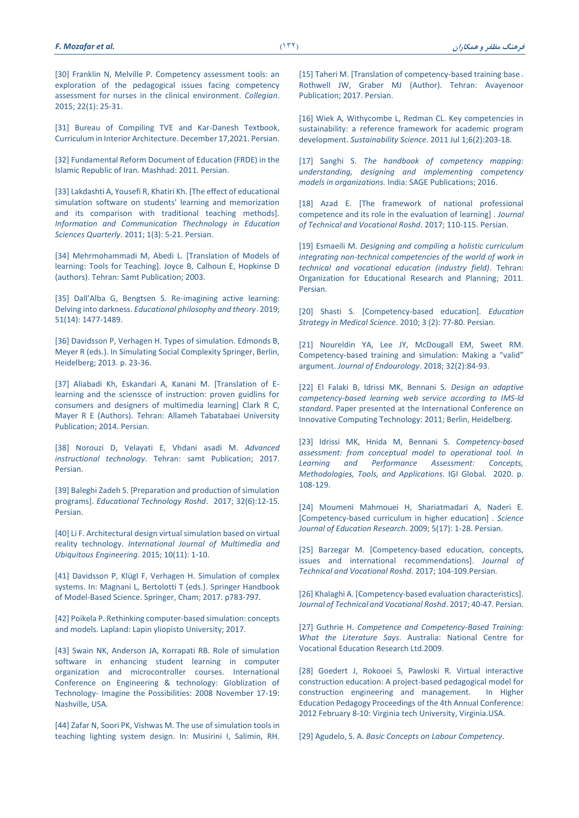[30] Franklin N, Melville P. Competency assessment tools: an [exploration of the pedagogical issues facing competency](https://www.sciencedirect.com/science/article/abs/pii/S1322769613001108‎)  [assessment for nurses in the clinical environment.](https://www.sciencedirect.com/science/article/abs/pii/S1322769613001108‎) *Collegian*. [2015; 22\(1\):](https://www.sciencedirect.com/science/article/abs/pii/S1322769613001108‎) 25-31.

[31] [Bureau of Compiling TVE and Kar-Danesh Textbook,](http://tvoccd.oerp.ir/sites/tvoccd.oerp.ir/files/rahnama-fanni/tarahivadekorasiondakheli.pdf)  [Curriculum in Interior Architecture](http://tvoccd.oerp.ir/sites/tvoccd.oerp.ir/files/rahnama-fanni/tarahivadekorasiondakheli.pdf). December 17,2021. Persian.

[32] [Fundamental Reform Document of Education \(FRDE\) in the](http://en.oerp.ir/sites/en.oerp.ir/files/sandtahavol.pdf)  [Islamic Republic of Iran.](http://en.oerp.ir/sites/en.oerp.ir/files/sandtahavol.pdf) Mashhad: 2011. Persian.

[33] [Lakdashti A, Yousefi R, Khatiri Kh.](https://www.sid.ir/fa/journal/ViewPaper.aspx?id=149281‎) [The effect of educational [simulation software on students' learning and memorization](https://www.sid.ir/fa/journal/ViewPaper.aspx?id=149281‎)  [and its comparison with traditional teaching methods\].](https://www.sid.ir/fa/journal/ViewPaper.aspx?id=149281‎)  *[Information and Communication Thechnology in](https://www.sid.ir/fa/journal/ViewPaper.aspx?id=149281‎) Education Sciences Quarterly*[. 2011; 1\(3\): 5-21. Persian.](https://www.sid.ir/fa/journal/ViewPaper.aspx?id=149281‎)

[34] [Mehrmohammadi M, Abedi L. \[Translation of Models of](http://samt.ac.ir/fa/book/363/‎)  [learning: Tools for Teaching\]. Joyce B, Calhoun E, Hopkinse D](http://samt.ac.ir/fa/book/363/‎) [\(authors\). Tehran: Samt Publication; 2003.](http://samt.ac.ir/fa/book/363/‎)

[35] [Dall'Alba G, Bengtsen S. Re](https://www.tandfonline.com/doi/abs/10.1080/00131857.2018.1561367‎)-imagining active learning: Delving into darkness. *[Educational philosophy and theory](https://www.tandfonline.com/doi/abs/10.1080/00131857.2018.1561367‎)*. 2019; [51\(14\): 1477-1489.](https://www.tandfonline.com/doi/abs/10.1080/00131857.2018.1561367‎)

[36] Davidsson P, Verhagen H. Types of simulation. Edmonds B, [Meyer R \(eds.\). In Simulating Social Complexity Springer, Berlin,](https://link.springer.com/chapter/10.1007/978-3-540-93813-2_3‎)  [Heidelberg; 2013. p. 23-36.](https://link.springer.com/chapter/10.1007/978-3-540-93813-2_3‎)

[37] [Aliabadi Kh, Eskandari A, Kanani M. \[Translation of E](https://book.atu.ac.ir/book_255.html)[learning and the scienssce of instruction: proven guidlins for](https://book.atu.ac.ir/book_255.html)  [consumers and designers of multimedia learning\] Clark R C,](https://book.atu.ac.ir/book_255.html)  [Mayer R E \(Authors\). Tehran: Allameh Tabatabaei University](https://book.atu.ac.ir/book_255.html)  [Publication; 2014. Persian.](https://book.atu.ac.ir/book_255.html)

[38] [Norouzi D, Velayati E, Vhdani asadi M.](http://samt.ac.ir/fa/book/398/‎) *Advanced instructional technology*[. Tehran: samt Publication; 2017.](http://samt.ac.ir/fa/book/398/‎)  [Persian.](http://samt.ac.ir/fa/book/398/‎)

[39] Baleghi Zadeh S. [\[Preparation and production of simulation](https://www.roshdmag.ir/fa/article/17981/‎)  programs]. *[Educational Technology Roshd](https://www.roshdmag.ir/fa/article/17981/‎)*. 2017; 32(6):12-15. [Persian.](https://www.roshdmag.ir/fa/article/17981/‎)

[40] [Li F. Architectural design virtual simulation based on virtual](https://www.semanticscholar.org/paper/Architectural-Design-Virtual-Simulation-Based-On%20‎Li/3eec71634fedd1f17a74da4eb69ed65b26ec0be4?p2df)  reality technology. *[International Journal of Multimedia and](https://www.semanticscholar.org/paper/Architectural-Design-Virtual-Simulation-Based-On%20‎Li/3eec71634fedd1f17a74da4eb69ed65b26ec0be4?p2df)  [Ubiquitous Engineering](https://www.semanticscholar.org/paper/Architectural-Design-Virtual-Simulation-Based-On%20‎Li/3eec71634fedd1f17a74da4eb69ed65b26ec0be4?p2df)*. 2015; 10(11): 1-10.

[41] [Davidsson P, Klügl F, Verhagen H. Simulation of complex](https://link.springer.com/chapter/10.1007/978-3-319-30526-4_3‎)  [systems. In: Magnani L, Bertolotti T \(eds.\). Springer Handbook](https://link.springer.com/chapter/10.1007/978-3-319-30526-4_3‎)  [of Model-Based Science. Springer, Cham; 2017. p783-797.](https://link.springer.com/chapter/10.1007/978-3-319-30526-4_3‎)

[42] [Poikela P. Rethinking computer-based simulation: concepts](https://lauda.ulapland.fi/handle/10024/62754‎)  [and models. Lapland: Lapin yliopisto University; 2017.](https://lauda.ulapland.fi/handle/10024/62754‎)

[43] [Swain NK, Anderson JA, Korrapati RB. Role of simulation](http://citeseerx.ist.psu.edu/viewdoc/download?doi=10.1.1.620.2552&rep=rep1&type=pdf)  [software in enhancing student learning in computer](http://citeseerx.ist.psu.edu/viewdoc/download?doi=10.1.1.620.2552&rep=rep1&type=pdf)  [organization and microcontroller courses. International](http://citeseerx.ist.psu.edu/viewdoc/download?doi=10.1.1.620.2552&rep=rep1&type=pdf)  [Conference on Engineering & technology: GIoblization of](http://citeseerx.ist.psu.edu/viewdoc/download?doi=10.1.1.620.2552&rep=rep1&type=pdf)  Technology- [Imagine the Possibilities: 2008 November 17-19:](http://citeseerx.ist.psu.edu/viewdoc/download?doi=10.1.1.620.2552&rep=rep1&type=pdf)  [Nashville, USA.](http://citeseerx.ist.psu.edu/viewdoc/download?doi=10.1.1.620.2552&rep=rep1&type=pdf)

[44] [Zafar N, Soori PK, Vishwas M. The use of simulation tools in](https://ieeexplore.ieee.org/abstract/document/6564592‎)  [teaching lighting system design. In: Musirini I, Salimin, RH.](https://ieeexplore.ieee.org/abstract/document/6564592‎)  [15] Taheri M. [Translation [of competency-based training base](https://book.atu.ac.ir/book_570.html) . Rothwell JW, Graber MJ (Author). Tehran: Avayenoor [Publication; 2017. Persian.](https://book.atu.ac.ir/book_570.html)

[16] [Wiek A, Withycombe L, Redman CL. Key competencies in](https://link.springer.com/article/10.1007%2Fs11625-011-0132-6‎)  [sustainability: a reference framework for academic program](https://link.springer.com/article/10.1007%2Fs11625-011-0132-6‎)  development. *Sustainability Science*[. 2011 Jul 1;6\(2\):203-18.](https://link.springer.com/article/10.1007%2Fs11625-011-0132-6‎)

[17] Sanghi S. *[The handbook of competency mapping:](https://books.google.com/books?hl=en&lr=&id=tGDlDAAAQBAJ&oi=fnd&pg=PP1&dq=Sanghi+S.+The+handbook+of+competency+mapping:+understanding,+designing+and+implementing+competency+models+in+organizations.+SAGE+publications+India%3B+2016+Aug+22.&ots=qNQHBgJsZr&sig=nPzwzfVXMgavc0KUNaBdSr45kH0#v=onepage&q&f=false)  [understanding, designing and implementing competency](https://books.google.com/books?hl=en&lr=&id=tGDlDAAAQBAJ&oi=fnd&pg=PP1&dq=Sanghi+S.+The+handbook+of+competency+mapping:+understanding,+designing+and+implementing+competency+models+in+organizations.+SAGE+publications+India%3B+2016+Aug+22.&ots=qNQHBgJsZr&sig=nPzwzfVXMgavc0KUNaBdSr45kH0#v=onepage&q&f=false)  models in organizations.* [India: SAGE Publications; 2016.](https://books.google.com/books?hl=en&lr=&id=tGDlDAAAQBAJ&oi=fnd&pg=PP1&dq=Sanghi+S.+The+handbook+of+competency+mapping:+understanding,+designing+and+implementing+competency+models+in+organizations.+SAGE+publications+India%3B+2016+Aug+22.&ots=qNQHBgJsZr&sig=nPzwzfVXMgavc0KUNaBdSr45kH0#v=onepage&q&f=false)

[18] Azad E. [\[The framework of national professional](https://www.roshdmag.ir/Roshdmag_content/media/article/110.115from%20MATN%20VIJENAMEH%20FANIHERFEIEE-‎‎13_0.pdf‎)  [competence and its role in the evaluation of learning](https://www.roshdmag.ir/Roshdmag_content/media/article/110.115from%20MATN%20VIJENAMEH%20FANIHERFEIEE-‎‎13_0.pdf‎)] . *Journal [of Technical and Vocational Roshd](https://www.roshdmag.ir/Roshdmag_content/media/article/110.115from%20MATN%20VIJENAMEH%20FANIHERFEIEE-‎‎13_0.pdf‎)*. 2017; 110-115. Persian.

[19] Esmaeili M. *[Designing and compiling a holistic curriculum](http://tvoccd.oerp.ir/‎)  [integrating non-technical competencies of the world of work in](http://tvoccd.oerp.ir/‎)  [technical and vocational education \(industry field\)](http://tvoccd.oerp.ir/‎)*. Tehran: [Organization for Educational Research and Planning;](http://tvoccd.oerp.ir/‎) 2011. [Persian.](http://tvoccd.oerp.ir/‎)

[20] [Shasti S. \[Competency-based education\].](http://edcbmj.ir/browse.php?a_code=A-10-127-1&sid=1&slc_lang=fa‎) *Education Strategy in Medical Science*[. 2010; 3 \(2\): 77-80. Persian.](http://edcbmj.ir/browse.php?a_code=A-10-127-1&sid=1&slc_lang=fa‎)

[21] [Noureldin YA, Lee JY, McDougall EM, Sweet RM.](https://www.bu.edu.eg/portal/uploads/Citations/1566750093.pdf)  [Competency-based training and simulation: M](https://www.bu.edu.eg/portal/uploads/Citations/1566750093.pdf)aking a "valid" argument. *Journal of Endourology*[. 2018; 32\(2\):84-93.](https://www.bu.edu.eg/portal/uploads/Citations/1566750093.pdf)

[22] [El Falaki B, Idrissi MK, Bennani S.](https://link.springer.com/chapter/10.1007/978-3-642-27337-7_5‎) *Design an adaptive [competency-based learning web service according to IMS-ld](https://link.springer.com/chapter/10.1007/978-3-642-27337-7_5‎) standard*[. Paper presented at the International Conference on](https://link.springer.com/chapter/10.1007/978-3-642-27337-7_5‎)  [Innovative Computing Technology: 2011;](https://link.springer.com/chapter/10.1007/978-3-642-27337-7_5‎) Berlin, Heidelberg.

[23] [Idrissi MK, Hnida M, Bennani S.](https://www.igi-global.com/chapter/competency-based-assessment/237523‎) *Competency-based [assessment: from conceptual model to operational tool. In](https://www.igi-global.com/chapter/competency-based-assessment/237523‎)  [Learning and Performance Assessment: Concepts,](https://www.igi-global.com/chapter/competency-based-assessment/237523‎)  [Methodologies, Tools, and Applications](https://www.igi-global.com/chapter/competency-based-assessment/237523‎)*. IGI Global. 2020. p. [108-129.](https://www.igi-global.com/chapter/competency-based-assessment/237523‎) 

[24] [Moumeni Mahmouei H, Shariatmadari A, Naderi E.](https://www.sid.ir/fa/journal/ViewPaper.aspx?id=120064‎)  [\[Competency-based curriculum in higher education](https://www.sid.ir/fa/journal/ViewPaper.aspx?id=120064‎)] . *Science [Journal of Education Research](https://www.sid.ir/fa/journal/ViewPaper.aspx?id=120064‎)*. 2009; 5(17): 1-28. Persian.

[25] [Barzegar M. \[Competency-based education, concepts,](https://www.roshdmag.ir/Roshdmag_content/media/article/104.109%20from%20MATN%20VIJENAMEH%20FANIHERFEIEE-‎‎12_0.pdf‎)  [issues and international recommendations](https://www.roshdmag.ir/Roshdmag_content/media/article/104.109%20from%20MATN%20VIJENAMEH%20FANIHERFEIEE-‎‎12_0.pdf‎)]. Journal of *[Technical and Vocational Roshd](https://www.roshdmag.ir/Roshdmag_content/media/article/104.109%20from%20MATN%20VIJENAMEH%20FANIHERFEIEE-‎‎12_0.pdf‎)*. 2017; 104-109.Persian.

[26] Khalaghi A. [[Competency-based evaluation characteristics](https://www.roshdmag.ir/fa/article/18899/‎)]. *Journal [of Technical and Vocational Roshd](https://www.roshdmag.ir/fa/article/18899/‎)*. 2017; 40-47. Persian.

[27] Guthrie H. *[Competence and Competency-Based Training:](https://files.eric.ed.gov/fulltext/ED507116.pdf‏.‏)  What the Literature Says*[. Australia: National Centre for](https://files.eric.ed.gov/fulltext/ED507116.pdf‏.‏)  [Vocational Education Research Ltd.2009.](https://files.eric.ed.gov/fulltext/ED507116.pdf‏.‏)

[28] [Goedert J, Rokooei S, Pawloski R. Virtual interactive](https://www.researchgate.net/profile/Saeed-Rokooei/publication/280923703‎‏/‏)  [construction education: A project-based pedagogical model for](https://www.researchgate.net/profile/Saeed-Rokooei/publication/280923703‎‏/‏)  [construction engineering and management.](https://www.researchgate.net/profile/Saeed-Rokooei/publication/280923703‎‏/‏) In Higher [Education Pedagogy Proceedings of the 4th Annual Conference:](https://www.researchgate.net/profile/Saeed-Rokooei/publication/280923703‎‏/‏)  2012 February 8-10: [Virginia tech University, Virginia.USA.](https://www.researchgate.net/profile/Saeed-Rokooei/publication/280923703‎‏/‏)

[29] Agudelo, S. A. *[Basic Concepts on Labour Competency](http://www.oitcinterfor.org‏]‏Accessed30thApril2019‎‏[‏‎.‎)*.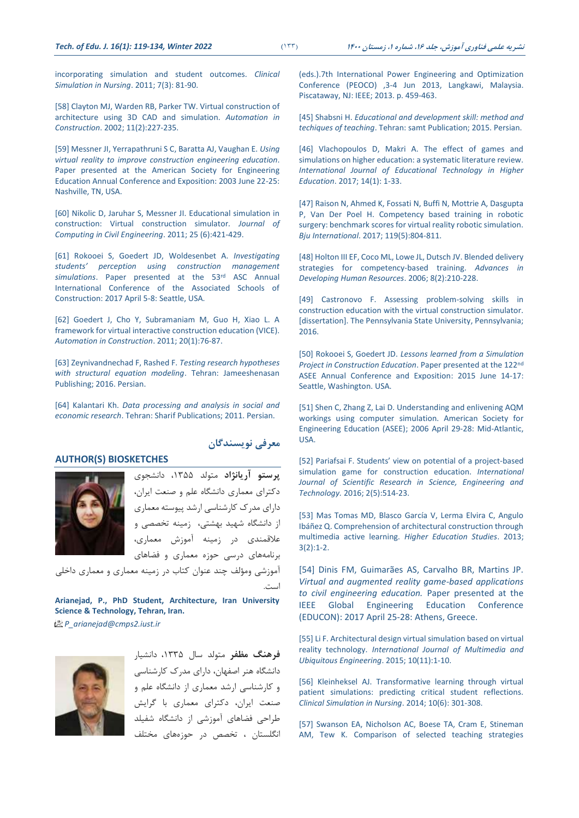[incorporating simulation and student outcomes.](https://www.sciencedirect.com/science/article/abs/pii/S1876139909005829‎) *Clinical [Simulation in Nursing](https://www.sciencedirect.com/science/article/abs/pii/S1876139909005829‎)*. 2011; 7(3): 81-90.

[58] [Clayton MJ, Warden RB, Parker TW. Virtual construction of](https://www.sciencedirect.com/science/article/abs/pii/S092658050000100X)  [architecture using 3D CAD and simulation.](https://www.sciencedirect.com/science/article/abs/pii/S092658050000100X) *Automation in Construction*[. 2002; 11\(2\):227-235.](https://www.sciencedirect.com/science/article/abs/pii/S092658050000100X)

[59] [Messner JI, Yerrapathruni S C, Baratta AJ, Vaughan E.](https://www.researchgate.net/profile/Anthony-‎Baratta/publication/249864710_Using_Virtual_Reality_to_Improve_Construction_Engineering_Education/links/00b7d53a050f2‎ee407000000/Using-Virtual-Reality-to-Improve-Construction-Engineering-Education.pdf) *Using [virtual reality to improve construction engineering education](https://www.researchgate.net/profile/Anthony-‎Baratta/publication/249864710_Using_Virtual_Reality_to_Improve_Construction_Engineering_Education/links/00b7d53a050f2‎ee407000000/Using-Virtual-Reality-to-Improve-Construction-Engineering-Education.pdf)*. [Paper presented at the American Society for Engineering](https://www.researchgate.net/profile/Anthony-‎Baratta/publication/249864710_Using_Virtual_Reality_to_Improve_Construction_Engineering_Education/links/00b7d53a050f2‎ee407000000/Using-Virtual-Reality-to-Improve-Construction-Engineering-Education.pdf)  [Education Annual Conference and Exposition: 2003 June 22-25:](https://www.researchgate.net/profile/Anthony-‎Baratta/publication/249864710_Using_Virtual_Reality_to_Improve_Construction_Engineering_Education/links/00b7d53a050f2‎ee407000000/Using-Virtual-Reality-to-Improve-Construction-Engineering-Education.pdf)  [Nashville, TN, USA.](https://www.researchgate.net/profile/Anthony-‎Baratta/publication/249864710_Using_Virtual_Reality_to_Improve_Construction_Engineering_Education/links/00b7d53a050f2‎ee407000000/Using-Virtual-Reality-to-Improve-Construction-Engineering-Education.pdf)

[60] [Nikolic D, Jaruhar S, Messner JI. Educational simulation in](https://ascelibrary.org/doi/abs/10.1061/(asce)cp.1943-5487.0000098‎)  [construction: Virtual construction simulator](https://ascelibrary.org/doi/abs/10.1061/(asce)cp.1943-5487.0000098‎)*. Journal of [Computing in Civil Engineering](https://ascelibrary.org/doi/abs/10.1061/(asce)cp.1943-5487.0000098‎)*. 2011; 25 (6):421-429.

[61] [Rokooei S, Goedert JD, Woldesenbet A.](https://digitalcommons.unl.edu/constructionmgmt/16/‎) *Investigating [students' perception using construction management](https://digitalcommons.unl.edu/constructionmgmt/16/‎)  simulations*[. Paper presented at the 53](https://digitalcommons.unl.edu/constructionmgmt/16/‎)rd ASC Annual [International Conference of the Associated Schools of](https://digitalcommons.unl.edu/constructionmgmt/16/‎)  [Construction: 2017 April 5-8: Seattle, USA.](https://digitalcommons.unl.edu/constructionmgmt/16/‎)

[62] [Goedert J, Cho Y, Subramaniam M, Guo H, Xiao L. A](https://www.researchgate.net/publication/245136514_A_framework_for_Virtual_Interactive_Construction_Education_VICE)  [framework for virtual interactive construction education \(VICE\).](https://www.researchgate.net/publication/245136514_A_framework_for_Virtual_Interactive_Construction_Education_VICE) *Automation in Construction*[. 2011; 20\(1\):76-87.](https://www.researchgate.net/publication/245136514_A_framework_for_Virtual_Interactive_Construction_Education_VICE)

[\[63\] Zeynivandnechad F, Rashed F.](https://www.gisoom.com/book/11238436/‎) *Testing research hypotheses [with structural equation modeling](https://www.gisoom.com/book/11238436/‎)*. Tehran: Jameeshenasan [Publishing; 2016. Persian.](https://www.gisoom.com/book/11238436/‎)

[64] Kalantari Kh. *[Data processing and analysis in social and](https://www.gisoom.com/book/1454903/‎)  economic research*[. Tehran: Sharif Publications; 2011. Persian.](https://www.gisoom.com/book/1454903/‎)

#### **AUTHOR(S) BIOSKETCHES**



**پرستو آريانژاد** متولد ،1355 دانشجوی دکترای معماری دانشگاه علم و صنعت ايران ، دارای مدرك کارشناسی ارشد پیوسته معماری از دانشگاه شهید بهشتی، زمینه تخصصی و علاقمندی در زمینه آموزش معماری، برنامه های درسی حوزه معماری و فضاهای

**معرفی نويسندگان**

آموزشی ومؤلف چند عنوان کتاب در زمینه معماری و معماری داخلی است.

**Arianejad, P., PhD Student, Architecture, Iran University Science & Technology, Tehran, Iran.** *P\_arianejad@cmps2.iust.ir*



**فرهنگ مظفر** متولد سال ،1335 دانشیار دانشگاه هنر اصفهان، دارای مدرك کارشناسی و کارشناسی ارشد معماری از دانشگاه علم و صنعت ايران، دکترای معماری با گرايش طراحی فضاهای آموزشی از دانشگاه شفیلد انگلستان ، تخصص در حوزه های مختل [\(eds.\).7th International Power Engineering and Optimization](https://ieeexplore.ieee.org/abstract/document/6564592‎)  [Conference \(PEOCO\) ,3-4 Jun 2013, Langkawi, Malaysia.](https://ieeexplore.ieee.org/abstract/document/6564592‎)  [Piscataway, NJ: IEEE; 2013. p. 459-463.](https://ieeexplore.ieee.org/abstract/document/6564592‎)

[45] Shabsni H. *[Educational and development skill: method and](https://samta.samt.ac.ir/content/9659/‎)  techiques of teaching*. Tehran: samt [Publication; 2015. Persian.](https://samta.samt.ac.ir/content/9659/‎)

[46] [Vlachopoulos D, Makri A. The effect of games and](https://educationaltechnologyjournal.springeropen.com/articles/10.1186/s41239-017-0062-1‎)  [simulations on higher education: a systematic literature review.](https://educationaltechnologyjournal.springeropen.com/articles/10.1186/s41239-017-0062-1‎)  *[International Journal of Educational Technology in Higher](https://educationaltechnologyjournal.springeropen.com/articles/10.1186/s41239-017-0062-1‎)  [Education](https://educationaltechnologyjournal.springeropen.com/articles/10.1186/s41239-017-0062-1‎)*. 2017; 14(1): 1-33.

[47] [Raison N, Ahmed K, Fossati N, Buffi N, Mottrie A, Dasgupta](https://bjui-journals.onlinelibrary.wiley.com/doi/abs/10.1111/bju.13710‎)  [P, Van Der Poel H. Competency based training in robotic](https://bjui-journals.onlinelibrary.wiley.com/doi/abs/10.1111/bju.13710‎)  [surgery: benchmark scores for virtual reality robotic simulation.](https://bjui-journals.onlinelibrary.wiley.com/doi/abs/10.1111/bju.13710‎)  *[Bju International](https://bjui-journals.onlinelibrary.wiley.com/doi/abs/10.1111/bju.13710‎)*. 2017; 119(5):804-811.

[48] Holton III EF, Coco ML, Lowe JL, Dutsch JV. Blended delivery [strategies for competency-based training.](https://journals.sagepub.com/doi/abs/10.1177/1523422305286153‎) *Advances in [Developing Human Resources](https://journals.sagepub.com/doi/abs/10.1177/1523422305286153‎)*. 2006; 8(2):210-228.

[49] [Castronovo F. Assessing problem-solving skills in](https://www.proquest.com/openview/2e987d6a028b564067be75e886715ebc/1?pq-origsite=gscholar&cbl=18750&diss=y)  [construction education with the virtual construction simulator.](https://www.proquest.com/openview/2e987d6a028b564067be75e886715ebc/1?pq-origsite=gscholar&cbl=18750&diss=y)  [\[dissertation\]. The Pennsylvania State University, Pennsylvania;](https://www.proquest.com/openview/2e987d6a028b564067be75e886715ebc/1?pq-origsite=gscholar&cbl=18750&diss=y)  [2016.](https://www.proquest.com/openview/2e987d6a028b564067be75e886715ebc/1?pq-origsite=gscholar&cbl=18750&diss=y)

[50] [Rokooei S, Goedert JD.](https://digitalcommons.unl.edu/constructionmgmt/11/?utm_source=digitalcommons.unl.edu%2Fconstructionmgmt%2F11&utm_medium=PDF&utm_campaign=PDFCoverPages) *Lessons learned from a Simulation [Project in Construction Education](https://digitalcommons.unl.edu/constructionmgmt/11/?utm_source=digitalcommons.unl.edu%2Fconstructionmgmt%2F11&utm_medium=PDF&utm_campaign=PDFCoverPages)*. Paper presented at the 122nd [ASEE Annual Conference and Exposition: 2015 June 14-17:](https://digitalcommons.unl.edu/constructionmgmt/11/?utm_source=digitalcommons.unl.edu%2Fconstructionmgmt%2F11&utm_medium=PDF&utm_campaign=PDFCoverPages)  [Seattle, Washington. USA.](https://digitalcommons.unl.edu/constructionmgmt/11/?utm_source=digitalcommons.unl.edu%2Fconstructionmgmt%2F11&utm_medium=PDF&utm_campaign=PDFCoverPages)

[51] [Shen C, Zhang Z, Lai D. Understanding and enlivening AQM](https://www.researchgate.net/publication/279467220_Understanding_and_enlivening_AQM_workings_using_computer_simualtion/link/55ff457608aeafc8ac8b9a35/download)  workings using computer [simulation. American Society for](https://www.researchgate.net/publication/279467220_Understanding_and_enlivening_AQM_workings_using_computer_simualtion/link/55ff457608aeafc8ac8b9a35/download)  Engineering Education (ASEE); [2006 April 29-28: Mid-Atlantic,](https://www.researchgate.net/publication/279467220_Understanding_and_enlivening_AQM_workings_using_computer_simualtion/link/55ff457608aeafc8ac8b9a35/download)  [USA.](https://www.researchgate.net/publication/279467220_Understanding_and_enlivening_AQM_workings_using_computer_simualtion/link/55ff457608aeafc8ac8b9a35/download)

[52] Pariafsai F. Students' [view on potential of a project-based](https://d1wqtxts1xzle7.cloudfront.net/50299581/‎‏%20‏)  [simulation game for construction education.](https://d1wqtxts1xzle7.cloudfront.net/50299581/‎‏%20‏) *International [Journal of Scientific Research in Science, Engineering and](https://d1wqtxts1xzle7.cloudfront.net/50299581/‎‏%20‏)  Technology.* [2016; 2\(5\):514-23.](https://d1wqtxts1xzle7.cloudfront.net/50299581/‎‏%20‏)

[53] [Mas Tomas MD, Blasco García V, Lerma Elvira C, Angulo](https://riunet.upv.es/bitstream/handle/10251/34262/Mas?sequence=1‎)  [Ibáñez Q. Comprehension of architectural construction through](https://riunet.upv.es/bitstream/handle/10251/34262/Mas?sequence=1‎)  [multimedia active learning.](https://riunet.upv.es/bitstream/handle/10251/34262/Mas?sequence=1‎) *Higher Education Studies*. 2013; [3\(2\):1-2.](https://riunet.upv.es/bitstream/handle/10251/34262/Mas?sequence=1‎)

[54] [Dinis FM, Guimarães AS, Carvalho BR, Martins JP.](https://ieeexplore.ieee.org/abstract/document/7943075‎)  *[Virtual and augmented reality game-based applications](https://ieeexplore.ieee.org/abstract/document/7943075‎)  [to civil engineering education.](https://ieeexplore.ieee.org/abstract/document/7943075‎)* Paper presented at the [IEEE Global Engineering Education Conference](https://ieeexplore.ieee.org/abstract/document/7943075‎)  [\(EDUCON\): 2017 April 25-28:](https://ieeexplore.ieee.org/abstract/document/7943075‎) Athens, Greece.

[55] [Li F. Architectural design virtual simulation based on virtual](https://www.semanticscholar.org/paper/Architectural-Design-Virtual-Simulation-Based-On-‎Li/3eec71634fedd1f17a74da4eb69ed65b26ec0be4?p2df‎)  reality technology. *[International Journal of Multimedia and](https://www.semanticscholar.org/paper/Architectural-Design-Virtual-Simulation-Based-On-‎Li/3eec71634fedd1f17a74da4eb69ed65b26ec0be4?p2df‎)  [Ubiquitous Engineering](https://www.semanticscholar.org/paper/Architectural-Design-Virtual-Simulation-Based-On-‎Li/3eec71634fedd1f17a74da4eb69ed65b26ec0be4?p2df‎)*. 2015; 10(11):1-10.

[56] Kleinheksel AJ. Transformative learning through virtual [patient simulations: predicting critical student reflections.](https://www.sciencedirect.com/science/article/abs/pii/S1876139914000309‎)  *[Clinical Simulation in Nursing](https://www.sciencedirect.com/science/article/abs/pii/S1876139914000309‎)*. 2014; 10(6): 301-308.

[57] [Swanson EA, Nicholson AC, Boese TA, Cram E, Stineman](https://www.sciencedirect.com/science/article/abs/pii/S1876139909005829‎)  [AM, Tew K. Comparison of selected teaching strategies](https://www.sciencedirect.com/science/article/abs/pii/S1876139909005829‎)